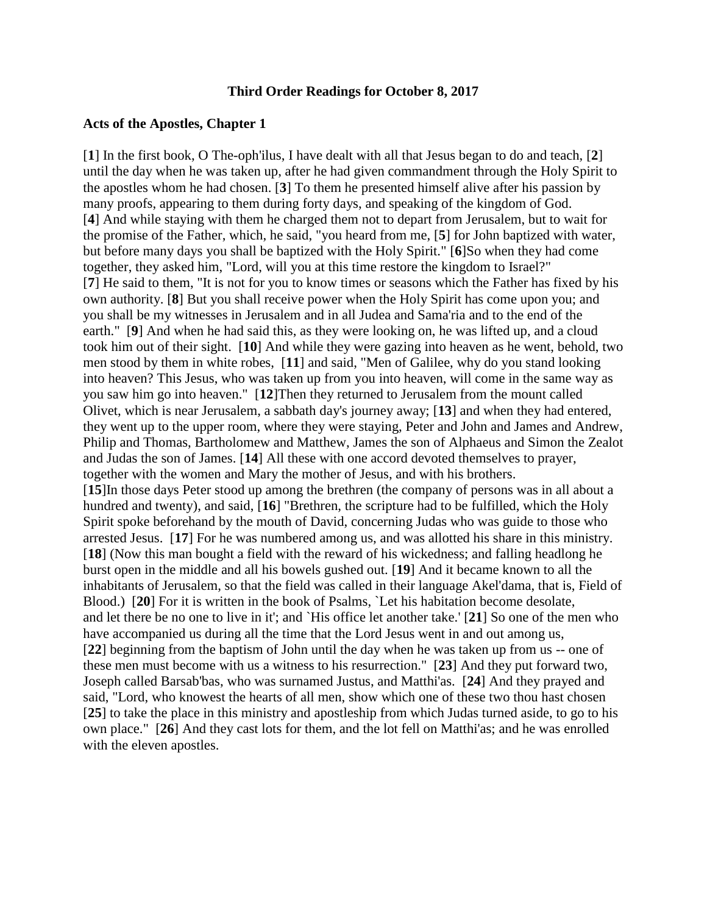## **Third Order Readings for October 8, 2017**

## **Acts of the Apostles, Chapter 1**

[**1**] In the first book, O The-oph'ilus, I have dealt with all that Jesus began to do and teach, [**2**] until the day when he was taken up, after he had given commandment through the Holy Spirit to the apostles whom he had chosen. [**3**] To them he presented himself alive after his passion by many proofs, appearing to them during forty days, and speaking of the kingdom of God. [**4**] And while staying with them he charged them not to depart from Jerusalem, but to wait for the promise of the Father, which, he said, "you heard from me, [**5**] for John baptized with water, but before many days you shall be baptized with the Holy Spirit." [**6**]So when they had come together, they asked him, "Lord, will you at this time restore the kingdom to Israel?" [**7**] He said to them, "It is not for you to know times or seasons which the Father has fixed by his own authority. [**8**] But you shall receive power when the Holy Spirit has come upon you; and you shall be my witnesses in Jerusalem and in all Judea and Sama'ria and to the end of the earth." [**9**] And when he had said this, as they were looking on, he was lifted up, and a cloud took him out of their sight. [**10**] And while they were gazing into heaven as he went, behold, two men stood by them in white robes, [**11**] and said, "Men of Galilee, why do you stand looking into heaven? This Jesus, who was taken up from you into heaven, will come in the same way as you saw him go into heaven." [**12**]Then they returned to Jerusalem from the mount called Olivet, which is near Jerusalem, a sabbath day's journey away; [**13**] and when they had entered, they went up to the upper room, where they were staying, Peter and John and James and Andrew, Philip and Thomas, Bartholomew and Matthew, James the son of Alphaeus and Simon the Zealot and Judas the son of James. [**14**] All these with one accord devoted themselves to prayer, together with the women and Mary the mother of Jesus, and with his brothers. [**15**]In those days Peter stood up among the brethren (the company of persons was in all about a hundred and twenty), and said, [**16**] "Brethren, the scripture had to be fulfilled, which the Holy Spirit spoke beforehand by the mouth of David, concerning Judas who was guide to those who arrested Jesus. [**17**] For he was numbered among us, and was allotted his share in this ministry. [**18**] (Now this man bought a field with the reward of his wickedness; and falling headlong he burst open in the middle and all his bowels gushed out. [**19**] And it became known to all the inhabitants of Jerusalem, so that the field was called in their language Akel'dama, that is, Field of Blood.) [**20**] For it is written in the book of Psalms, `Let his habitation become desolate, and let there be no one to live in it'; and `His office let another take.' [**21**] So one of the men who have accompanied us during all the time that the Lord Jesus went in and out among us, [**22**] beginning from the baptism of John until the day when he was taken up from us -- one of these men must become with us a witness to his resurrection." [**23**] And they put forward two, Joseph called Barsab'bas, who was surnamed Justus, and Matthi'as. [**24**] And they prayed and said, "Lord, who knowest the hearts of all men, show which one of these two thou hast chosen [**25**] to take the place in this ministry and apostleship from which Judas turned aside, to go to his own place." [**26**] And they cast lots for them, and the lot fell on Matthi'as; and he was enrolled with the eleven apostles.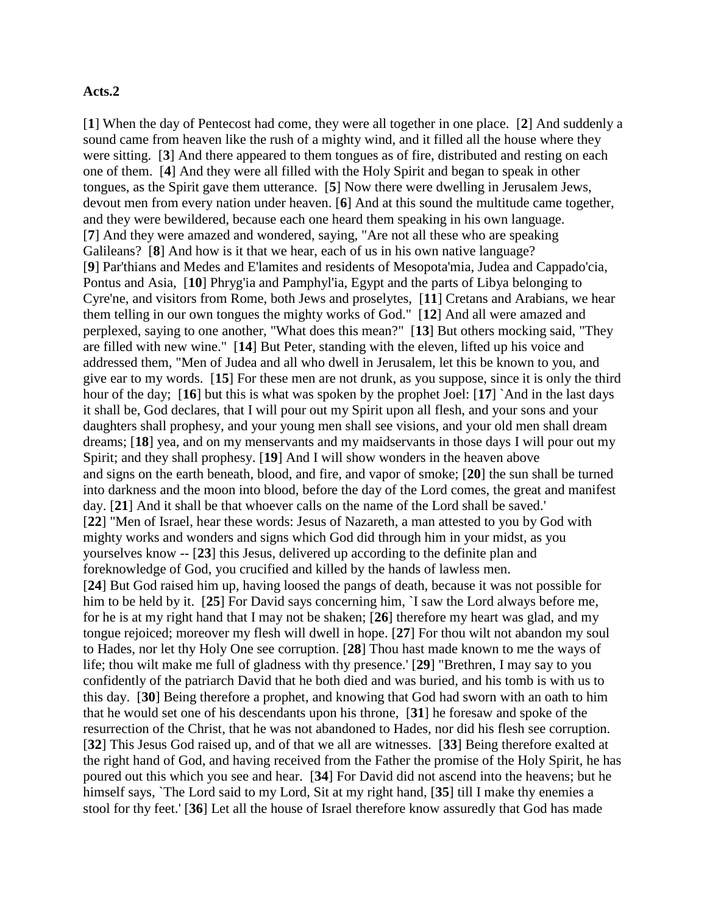# **Acts.2**

[**1**] When the day of Pentecost had come, they were all together in one place. [**2**] And suddenly a sound came from heaven like the rush of a mighty wind, and it filled all the house where they were sitting. [**3**] And there appeared to them tongues as of fire, distributed and resting on each one of them. [**4**] And they were all filled with the Holy Spirit and began to speak in other tongues, as the Spirit gave them utterance. [**5**] Now there were dwelling in Jerusalem Jews, devout men from every nation under heaven. [**6**] And at this sound the multitude came together, and they were bewildered, because each one heard them speaking in his own language. [**7**] And they were amazed and wondered, saying, "Are not all these who are speaking Galileans? [**8**] And how is it that we hear, each of us in his own native language? [**9**] Par'thians and Medes and E'lamites and residents of Mesopota'mia, Judea and Cappado'cia, Pontus and Asia, [**10**] Phryg'ia and Pamphyl'ia, Egypt and the parts of Libya belonging to Cyre'ne, and visitors from Rome, both Jews and proselytes, [**11**] Cretans and Arabians, we hear them telling in our own tongues the mighty works of God." [**12**] And all were amazed and perplexed, saying to one another, "What does this mean?" [**13**] But others mocking said, "They are filled with new wine." [**14**] But Peter, standing with the eleven, lifted up his voice and addressed them, "Men of Judea and all who dwell in Jerusalem, let this be known to you, and give ear to my words. [**15**] For these men are not drunk, as you suppose, since it is only the third hour of the day; [**16**] but this is what was spoken by the prophet Joel: [**17**] `And in the last days it shall be, God declares, that I will pour out my Spirit upon all flesh, and your sons and your daughters shall prophesy, and your young men shall see visions, and your old men shall dream dreams; [**18**] yea, and on my menservants and my maidservants in those days I will pour out my Spirit; and they shall prophesy. [**19**] And I will show wonders in the heaven above and signs on the earth beneath, blood, and fire, and vapor of smoke; [**20**] the sun shall be turned into darkness and the moon into blood, before the day of the Lord comes, the great and manifest day. [**21**] And it shall be that whoever calls on the name of the Lord shall be saved.' [**22**] "Men of Israel, hear these words: Jesus of Nazareth, a man attested to you by God with mighty works and wonders and signs which God did through him in your midst, as you yourselves know -- [**23**] this Jesus, delivered up according to the definite plan and foreknowledge of God, you crucified and killed by the hands of lawless men. [**24**] But God raised him up, having loosed the pangs of death, because it was not possible for him to be held by it. [**25**] For David says concerning him, `I saw the Lord always before me, for he is at my right hand that I may not be shaken; [**26**] therefore my heart was glad, and my tongue rejoiced; moreover my flesh will dwell in hope. [**27**] For thou wilt not abandon my soul to Hades, nor let thy Holy One see corruption. [**28**] Thou hast made known to me the ways of life; thou wilt make me full of gladness with thy presence.' [**29**] "Brethren, I may say to you confidently of the patriarch David that he both died and was buried, and his tomb is with us to this day. [**30**] Being therefore a prophet, and knowing that God had sworn with an oath to him that he would set one of his descendants upon his throne, [**31**] he foresaw and spoke of the resurrection of the Christ, that he was not abandoned to Hades, nor did his flesh see corruption. [**32**] This Jesus God raised up, and of that we all are witnesses. [**33**] Being therefore exalted at the right hand of God, and having received from the Father the promise of the Holy Spirit, he has poured out this which you see and hear. [**34**] For David did not ascend into the heavens; but he himself says, `The Lord said to my Lord, Sit at my right hand, [**35**] till I make thy enemies a stool for thy feet.' [**36**] Let all the house of Israel therefore know assuredly that God has made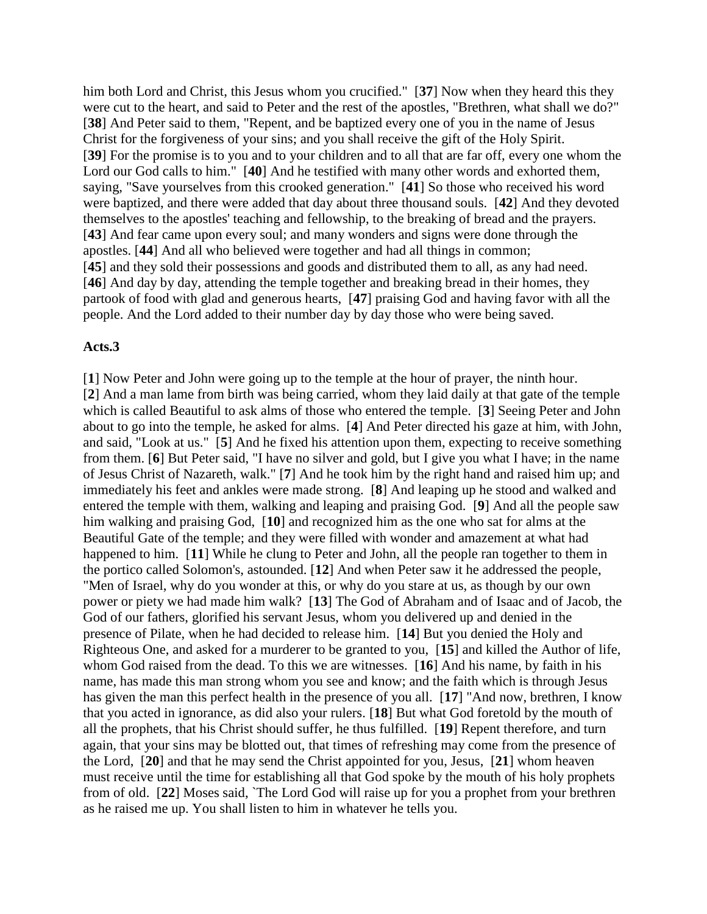him both Lord and Christ, this Jesus whom you crucified." [**37**] Now when they heard this they were cut to the heart, and said to Peter and the rest of the apostles, "Brethren, what shall we do?" [**38**] And Peter said to them, "Repent, and be baptized every one of you in the name of Jesus Christ for the forgiveness of your sins; and you shall receive the gift of the Holy Spirit. [**39**] For the promise is to you and to your children and to all that are far off, every one whom the Lord our God calls to him." [**40**] And he testified with many other words and exhorted them, saying, "Save yourselves from this crooked generation." [**41**] So those who received his word were baptized, and there were added that day about three thousand souls. [**42**] And they devoted themselves to the apostles' teaching and fellowship, to the breaking of bread and the prayers. [**43**] And fear came upon every soul; and many wonders and signs were done through the apostles. [**44**] And all who believed were together and had all things in common; [45] and they sold their possessions and goods and distributed them to all, as any had need. [**46**] And day by day, attending the temple together and breaking bread in their homes, they partook of food with glad and generous hearts, [**47**] praising God and having favor with all the people. And the Lord added to their number day by day those who were being saved.

#### **Acts.3**

[**1**] Now Peter and John were going up to the temple at the hour of prayer, the ninth hour. [**2**] And a man lame from birth was being carried, whom they laid daily at that gate of the temple which is called Beautiful to ask alms of those who entered the temple. [**3**] Seeing Peter and John about to go into the temple, he asked for alms. [**4**] And Peter directed his gaze at him, with John, and said, "Look at us." [**5**] And he fixed his attention upon them, expecting to receive something from them. [**6**] But Peter said, "I have no silver and gold, but I give you what I have; in the name of Jesus Christ of Nazareth, walk." [**7**] And he took him by the right hand and raised him up; and immediately his feet and ankles were made strong. [**8**] And leaping up he stood and walked and entered the temple with them, walking and leaping and praising God. [**9**] And all the people saw him walking and praising God, [**10**] and recognized him as the one who sat for alms at the Beautiful Gate of the temple; and they were filled with wonder and amazement at what had happened to him. [**11**] While he clung to Peter and John, all the people ran together to them in the portico called Solomon's, astounded. [**12**] And when Peter saw it he addressed the people, "Men of Israel, why do you wonder at this, or why do you stare at us, as though by our own power or piety we had made him walk? [**13**] The God of Abraham and of Isaac and of Jacob, the God of our fathers, glorified his servant Jesus, whom you delivered up and denied in the presence of Pilate, when he had decided to release him. [**14**] But you denied the Holy and Righteous One, and asked for a murderer to be granted to you, [**15**] and killed the Author of life, whom God raised from the dead. To this we are witnesses. [**16**] And his name, by faith in his name, has made this man strong whom you see and know; and the faith which is through Jesus has given the man this perfect health in the presence of you all. [**17**] "And now, brethren, I know that you acted in ignorance, as did also your rulers. [**18**] But what God foretold by the mouth of all the prophets, that his Christ should suffer, he thus fulfilled. [**19**] Repent therefore, and turn again, that your sins may be blotted out, that times of refreshing may come from the presence of the Lord, [**20**] and that he may send the Christ appointed for you, Jesus, [**21**] whom heaven must receive until the time for establishing all that God spoke by the mouth of his holy prophets from of old. [**22**] Moses said, `The Lord God will raise up for you a prophet from your brethren as he raised me up. You shall listen to him in whatever he tells you.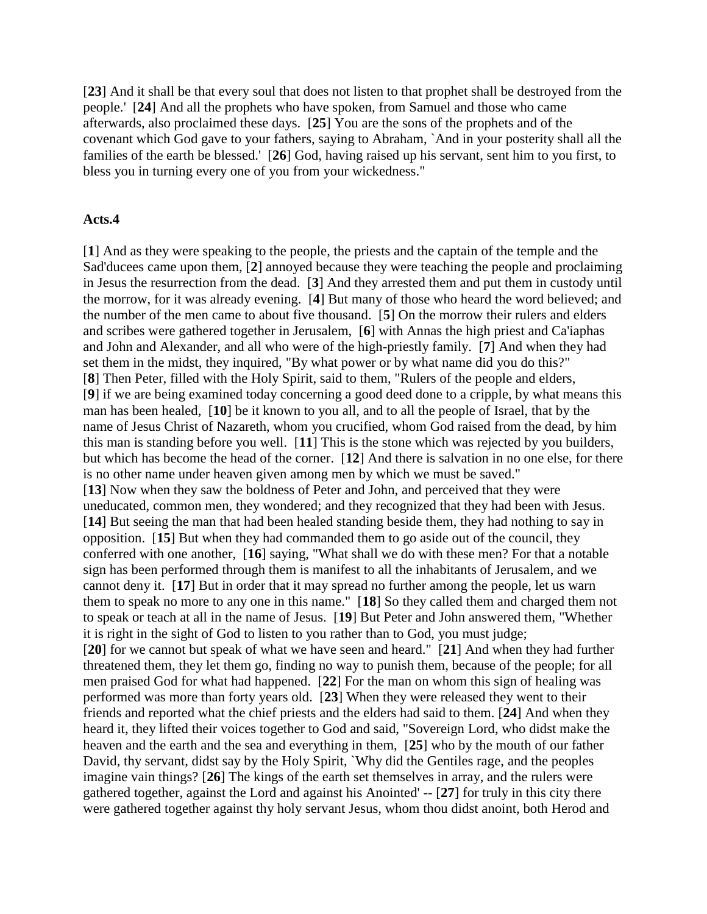[**23**] And it shall be that every soul that does not listen to that prophet shall be destroyed from the people.' [**24**] And all the prophets who have spoken, from Samuel and those who came afterwards, also proclaimed these days. [**25**] You are the sons of the prophets and of the covenant which God gave to your fathers, saying to Abraham, `And in your posterity shall all the families of the earth be blessed.' [**26**] God, having raised up his servant, sent him to you first, to bless you in turning every one of you from your wickedness."

# **Acts.4**

[**1**] And as they were speaking to the people, the priests and the captain of the temple and the Sad'ducees came upon them, [**2**] annoyed because they were teaching the people and proclaiming in Jesus the resurrection from the dead. [**3**] And they arrested them and put them in custody until the morrow, for it was already evening. [**4**] But many of those who heard the word believed; and the number of the men came to about five thousand. [**5**] On the morrow their rulers and elders and scribes were gathered together in Jerusalem, [**6**] with Annas the high priest and Ca'iaphas and John and Alexander, and all who were of the high-priestly family. [**7**] And when they had set them in the midst, they inquired, "By what power or by what name did you do this?" [**8**] Then Peter, filled with the Holy Spirit, said to them, "Rulers of the people and elders, [**9**] if we are being examined today concerning a good deed done to a cripple, by what means this man has been healed, [**10**] be it known to you all, and to all the people of Israel, that by the name of Jesus Christ of Nazareth, whom you crucified, whom God raised from the dead, by him this man is standing before you well. [**11**] This is the stone which was rejected by you builders, but which has become the head of the corner. [**12**] And there is salvation in no one else, for there is no other name under heaven given among men by which we must be saved." [**13**] Now when they saw the boldness of Peter and John, and perceived that they were uneducated, common men, they wondered; and they recognized that they had been with Jesus. [**14**] But seeing the man that had been healed standing beside them, they had nothing to say in opposition. [**15**] But when they had commanded them to go aside out of the council, they conferred with one another, [**16**] saying, "What shall we do with these men? For that a notable sign has been performed through them is manifest to all the inhabitants of Jerusalem, and we cannot deny it. [**17**] But in order that it may spread no further among the people, let us warn them to speak no more to any one in this name." [**18**] So they called them and charged them not to speak or teach at all in the name of Jesus. [**19**] But Peter and John answered them, "Whether it is right in the sight of God to listen to you rather than to God, you must judge; [**20**] for we cannot but speak of what we have seen and heard." [**21**] And when they had further threatened them, they let them go, finding no way to punish them, because of the people; for all men praised God for what had happened. [**22**] For the man on whom this sign of healing was performed was more than forty years old. [**23**] When they were released they went to their friends and reported what the chief priests and the elders had said to them. [**24**] And when they heard it, they lifted their voices together to God and said, "Sovereign Lord, who didst make the heaven and the earth and the sea and everything in them, [**25**] who by the mouth of our father David, thy servant, didst say by the Holy Spirit, `Why did the Gentiles rage, and the peoples imagine vain things? [**26**] The kings of the earth set themselves in array, and the rulers were gathered together, against the Lord and against his Anointed' -- [**27**] for truly in this city there were gathered together against thy holy servant Jesus, whom thou didst anoint, both Herod and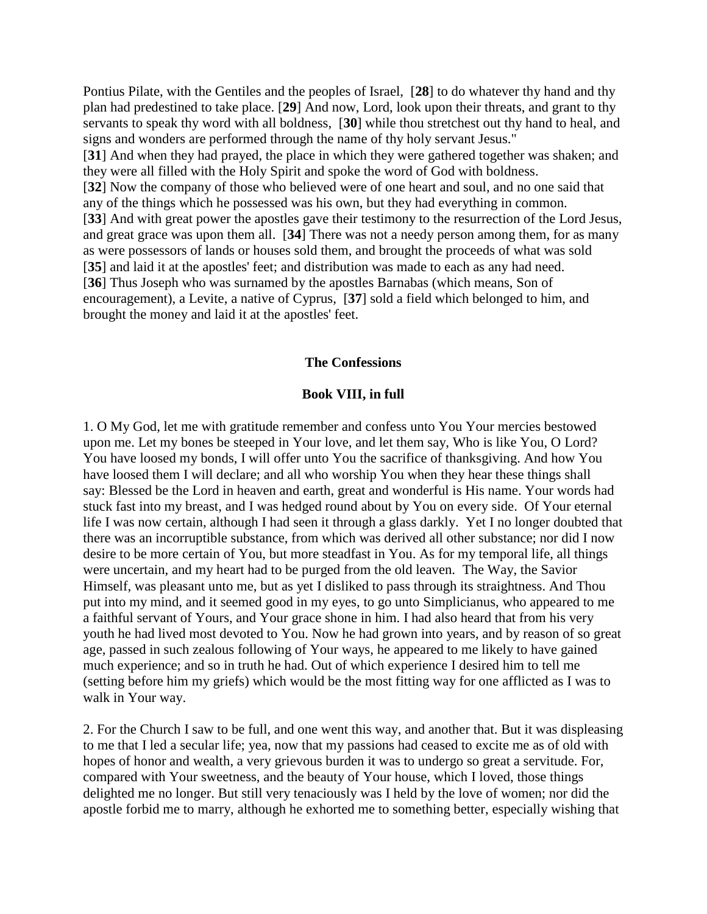Pontius Pilate, with the Gentiles and the peoples of Israel, [**28**] to do whatever thy hand and thy plan had predestined to take place. [**29**] And now, Lord, look upon their threats, and grant to thy servants to speak thy word with all boldness, [**30**] while thou stretchest out thy hand to heal, and signs and wonders are performed through the name of thy holy servant Jesus." [**31**] And when they had prayed, the place in which they were gathered together was shaken; and they were all filled with the Holy Spirit and spoke the word of God with boldness. [**32**] Now the company of those who believed were of one heart and soul, and no one said that any of the things which he possessed was his own, but they had everything in common. [33] And with great power the apostles gave their testimony to the resurrection of the Lord Jesus, and great grace was upon them all. [**34**] There was not a needy person among them, for as many as were possessors of lands or houses sold them, and brought the proceeds of what was sold [35] and laid it at the apostles' feet; and distribution was made to each as any had need. [**36**] Thus Joseph who was surnamed by the apostles Barnabas (which means, Son of encouragement), a Levite, a native of Cyprus, [**37**] sold a field which belonged to him, and brought the money and laid it at the apostles' feet.

#### **The Confessions**

#### **Book VIII, in full**

1. O My [God,](http://www.newadvent.org/cathen/06608a.htm) let me with gratitude remember and confess unto You Your mercies bestowed upon me. Let my bones be steeped in Your [love,](http://www.newadvent.org/cathen/09397a.htm) and let them say, Who is like You, O Lord? You have loosed my bonds, I will offer unto You the [sacrifice](http://www.newadvent.org/cathen/13309a.htm) of thanksgiving. And how You have loosed them I will declare; and all who worship You when they hear these things shall say: Blessed be the Lord in heaven and earth, great and wonderful is His name. Your words had stuck fast into my breast, and I was hedged round about by You on every side. Of Your [eternal](http://www.newadvent.org/cathen/05551b.htm) life I was now certain, although I had seen it through a glass darkly. Yet I no longer [doubted](http://www.newadvent.org/cathen/05141a.htm) that there was an incorruptible substance, from which was derived all other substance; nor did I now desire to be more certain of You, but more steadfast in You. As for my temporal life, all things were uncertain, and my heart had to be purged from the old leaven. The Way, the Savior Himself, was pleasant unto me, but as yet I disliked to pass through its straightness. And Thou put into my [mind,](http://www.newadvent.org/cathen/10321a.htm) and it seemed [good](http://www.newadvent.org/cathen/06636b.htm) in my eyes, to go unto Simplicianus, who appeared to me a faithful servant of Yours, and Your [grace](http://www.newadvent.org/cathen/06689a.htm) shone in him. I had also heard that from his very youth he had lived most devoted to You. Now he had grown into years, and by reason of so great age, passed in such [zealous](http://www.newadvent.org/cathen/15753a.htm) following of Your ways, he appeared to me likely to have gained much experience; and so in [truth](http://www.newadvent.org/cathen/15073a.htm) he had. Out of which experience I desired him to tell me (setting before him my griefs) which would be the most fitting way for one afflicted as I was to walk in Your way.

2. For the [Church](http://www.newadvent.org/cathen/03744a.htm) I saw to be full, and one went this way, and another that. But it was displeasing to me that I led a secular life; yea, now that my [passions](http://www.newadvent.org/cathen/11534a.htm) had ceased to excite me as of old with hopes of [honor](http://www.newadvent.org/cathen/07462a.htm) and [wealth,](http://www.newadvent.org/cathen/15571a.htm) a very grievous burden it was to undergo so great a servitude. For, compared with Your sweetness, and the beauty of Your house, which I loved, those things delighted me no longer. But still very tenaciously was I held by the [love](http://www.newadvent.org/cathen/09397a.htm) of [women;](http://www.newadvent.org/cathen/15687b.htm) nor did the apostle forbid me to marry, although he exhorted me to something better, especially wishing that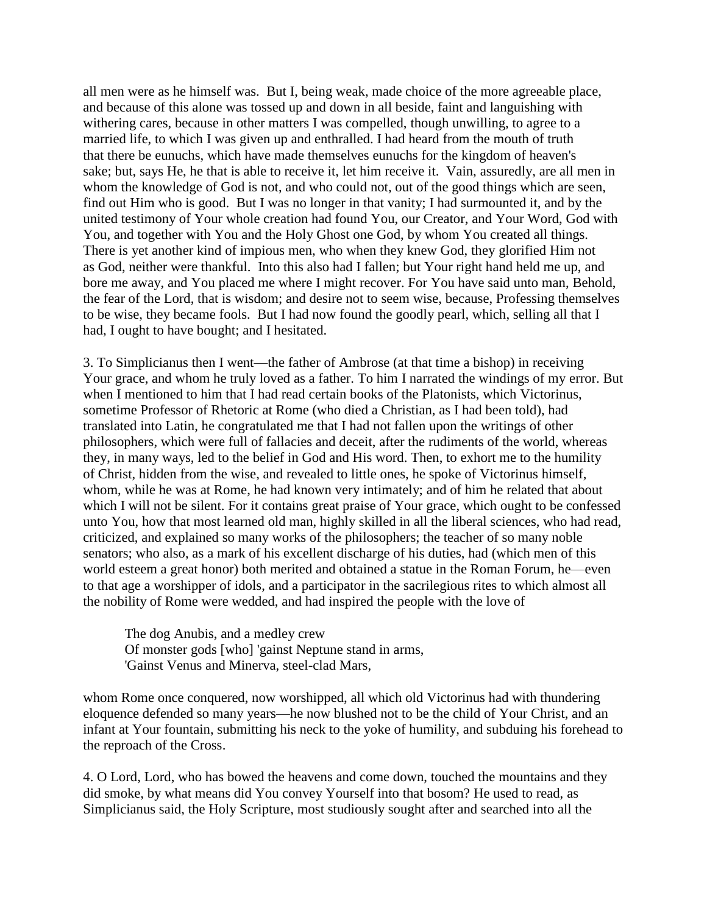all [men](http://www.newadvent.org/cathen/09580c.htm) were as he himself was. But I, being weak, made choice of the more agreeable place, and because of this alone was tossed up and down in all beside, faint and languishing with withering cares, because in other matters I was compelled, though unwilling, to agree to a married life, to which I was given up and enthralled. I had heard from the mouth of [truth](http://www.newadvent.org/cathen/15073a.htm) that there be eunuchs, which have made themselves eunuchs for the [kingdom of heaven's](http://www.newadvent.org/cathen/08646a.htm) sake; but, says He, he that is able to receive it, let him receive it. Vain, assuredly, are all [men](http://www.newadvent.org/cathen/09580c.htm) in whom the [knowledge](http://www.newadvent.org/cathen/08673a.htm) of God is not, and who could not, out of the [good](http://www.newadvent.org/cathen/06636b.htm) things which are seen, find out Him who is [good.](http://www.newadvent.org/cathen/06636b.htm) But I was no longer in that vanity; I had surmounted it, and by the united testimony of Your whole creation had found You, our Creator, and Your Word, God with You, and together with You and the [Holy Ghost](http://www.newadvent.org/cathen/07409a.htm) one [God,](http://www.newadvent.org/cathen/06608a.htm) by whom You created all things. There is yet another kind of impious men, who when they [knew](http://www.newadvent.org/cathen/08673a.htm) [God,](http://www.newadvent.org/cathen/06608a.htm) they [glorified](http://www.newadvent.org/cathen/06585a.htm) Him not as [God,](http://www.newadvent.org/cathen/06608a.htm) neither were thankful. Into this also had I fallen; but Your right hand held me up, and bore me away, and You placed me where I might recover. For You have said unto man, Behold, the [fear](http://www.newadvent.org/cathen/06021a.htm) of the Lord, that is wisdom; and desire not to seem wise, because, Professing themselves to be wise, they became fools. But I had now found the goodly pearl, which, selling all that I had, I ought to have bought; and I hesitated.

3. To Simplicianus then I went—the father of Ambrose (at that time a [bishop\)](http://www.newadvent.org/cathen/02581b.htm) in receiving Your [grace,](http://www.newadvent.org/cathen/06689a.htm) and whom he [truly](http://www.newadvent.org/cathen/15073a.htm) loved as a father. To him I narrated the windings of my [error.](http://www.newadvent.org/cathen/05525a.htm) But when I mentioned to him that I had read certain books of the Platonists, which Victorinus, sometime Professor of Rhetoric at [Rome](http://www.newadvent.org/cathen/13164a.htm) (who died a [Christian,](http://www.newadvent.org/cathen/03712a.htm) as I had been told), had translated into Latin, he congratulated me that I had not fallen upon the writings of other [philosophers,](http://www.newadvent.org/cathen/12025c.htm) which were full of fallacies and deceit, after the rudiments of the world, whereas they, in many ways, led to the belief in God and His word. Then, to exhort me to the humility of [Christ,](http://www.newadvent.org/cathen/08374c.htm) hidden from the wise, and revealed to little ones, he spoke of Victorinus himself, whom, while he was at [Rome,](http://www.newadvent.org/cathen/13164a.htm) he had [known](http://www.newadvent.org/cathen/08673a.htm) very intimately; and of him he related that about which I will not be silent. For it contains great praise of Your [grace,](http://www.newadvent.org/cathen/06689a.htm) which ought to be confessed unto You, how that most learned old man, highly skilled in all the liberal sciences, who had read, criticized, and explained so many works of the [philosophers;](http://www.newadvent.org/cathen/12025c.htm) the teacher of so many noble senators; who also, as a mark of his excellent discharge of his duties, had (which men of this world esteem a great honor) both merited and obtained a [statue](http://www.newadvent.org/cathen/13641b.htm) in the Roman Forum, he—even to that age a worshipper of [idols,](http://www.newadvent.org/cathen/07636a.htm) and a participator in the [sacrilegious](http://www.newadvent.org/cathen/13321a.htm) [rites](http://www.newadvent.org/cathen/13064b.htm) to which almost all the nobility of Rome were wedded, and had inspired the people with the [love](http://www.newadvent.org/cathen/09397a.htm) of

The dog Anubis, and a medley crew Of monster gods [who] 'gainst Neptune stand in arms, 'Gainst Venus and Minerva, steel-clad Mars,

whom Rome once conquered, now worshipped, all which old Victorinus had with thundering eloquence defended so many years—he now blushed not to be the child of Your Christ, and an infant at Your fountain, submitting his neck to the yoke of humility, and subduing his forehead to the reproach of the Cross.

4. O Lord, Lord, who has bowed the heavens and come down, touched the mountains and they did smoke, by what means did You convey Yourself into that bosom? He used to read, as Simplicianus said, the [Holy Scripture,](http://www.newadvent.org/bible/index.html) most studiously sought after and searched into all the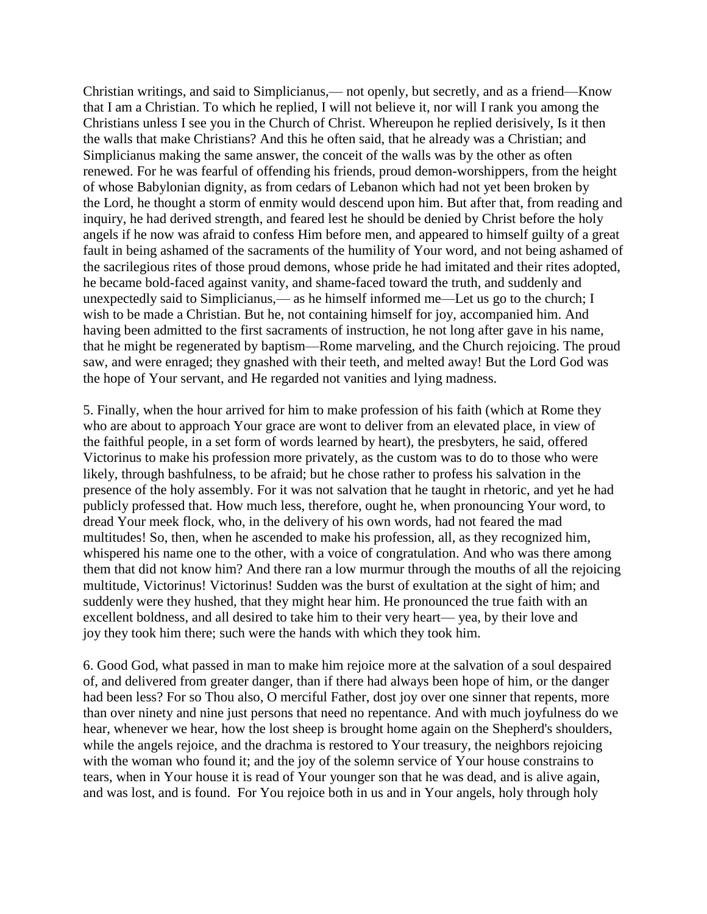[Christian](http://www.newadvent.org/cathen/03712a.htm) writings, and said to Simplicianus,— not openly, but secretly, and as a friend—Know that I am a [Christian.](http://www.newadvent.org/cathen/03712a.htm) To which he replied, I will not [believe](http://www.newadvent.org/cathen/02408b.htm) it, nor will I rank you among the [Christians](http://www.newadvent.org/cathen/03712a.htm) unless I see you in the [Church](http://www.newadvent.org/cathen/03744a.htm) of [Christ.](http://www.newadvent.org/cathen/08374c.htm) Whereupon he replied derisively, Is it then the walls that make [Christians?](http://www.newadvent.org/cathen/03712a.htm) And this he often said, that he already was a [Christian;](http://www.newadvent.org/cathen/03712a.htm) and Simplicianus making the same answer, the conceit of the walls was by the other as often renewed. For he was fearful of offending his friends, [proud](http://www.newadvent.org/cathen/12405a.htm) demon-worshippers, from the height of whose Babylonian dignity, as from cedars of Lebanon which had not yet been broken by the Lord, he thought a storm of enmity would descend upon him. But after that, from reading and inquiry, he had derived strength, and feared lest he should be denied by Christ before the [holy](http://www.newadvent.org/cathen/07386a.htm) [angels](http://www.newadvent.org/cathen/01476d.htm) if he now was afraid to confess Him before men, and appeared to himself guilty of a great fault in being ashamed of the [sacraments](http://www.newadvent.org/cathen/13295a.htm) of the humility of Your word, and not being ashamed of the [sacrilegious](http://www.newadvent.org/cathen/13321a.htm) [rites](http://www.newadvent.org/cathen/13064b.htm) of those [proud](http://www.newadvent.org/cathen/12405a.htm) [demons,](http://www.newadvent.org/cathen/04710a.htm) whose [pride](http://www.newadvent.org/cathen/12405a.htm) he had imitated and their [rites](http://www.newadvent.org/cathen/13064b.htm) adopted, he became bold-faced against vanity, and shame-faced toward the [truth,](http://www.newadvent.org/cathen/15073a.htm) and suddenly and unexpectedly said to Simplicianus,— as he himself informed me—Let us go to the church; I wish to be made a [Christian.](http://www.newadvent.org/cathen/03712a.htm) But he, not containing himself for [joy,](http://www.newadvent.org/cathen/07131b.htm) accompanied him. And having been admitted to the first [sacraments](http://www.newadvent.org/cathen/13295a.htm) of instruction, he not long after gave in his name, that he might be regenerated by [baptism—](http://www.newadvent.org/cathen/02258b.htm)Rome marveling, and the [Church](http://www.newadvent.org/cathen/03744a.htm) rejoicing. The [proud](http://www.newadvent.org/cathen/12405a.htm) saw, and were enraged; they gnashed with their teeth, and melted away! But the Lord God was the hope of Your servant, and He regarded not vanities and lying [madness.](http://www.newadvent.org/cathen/08041a.htm)

5. Finally, when the hour arrived for him to make profession of his [faith](http://www.newadvent.org/cathen/05752c.htm) (which at [Rome](http://www.newadvent.org/cathen/13164a.htm) they who are about to approach Your [grace](http://www.newadvent.org/cathen/06689a.htm) are wont to deliver from an elevated place, in view of the faithful people, in a set form of words learned by heart), the [presbyters,](http://www.newadvent.org/cathen/12406a.htm) he said, offered Victorinus to make his profession more privately, as the custom was to do to those who were likely, through bashfulness, to be afraid; but he chose rather to profess his [salvation](http://www.newadvent.org/cathen/13407a.htm) in the presence of the [holy](http://www.newadvent.org/cathen/07386a.htm) assembly. For it was not [salvation](http://www.newadvent.org/cathen/13407a.htm) that he taught in rhetoric, and yet he had publicly professed that. How much less, therefore, ought he, when pronouncing Your word, to dread Your meek flock, who, in the delivery of his own words, had not feared the mad multitudes! So, then, when he ascended to make his profession, all, as they recognized him, whispered his name one to the other, with a voice of congratulation. And who was there among them that did not [know](http://www.newadvent.org/cathen/08673a.htm) him? And there ran a low murmur through the mouths of all the rejoicing multitude, Victorinus! Victorinus! Sudden was the burst of exultation at the sight of him; and suddenly were they hushed, that they might hear him. He pronounced the [true](http://www.newadvent.org/cathen/15073a.htm) [faith](http://www.newadvent.org/cathen/05752c.htm) with an excellent boldness, and all desired to take him to their very heart— yea, by their [love](http://www.newadvent.org/cathen/09397a.htm) and [joy](http://www.newadvent.org/cathen/07131b.htm) they took him there; such were the hands with which they took him.

6. Good [God,](http://www.newadvent.org/cathen/06608a.htm) what passed in man to make him [rejoice](http://www.newadvent.org/cathen/07131b.htm) more at the [salvation](http://www.newadvent.org/cathen/13407a.htm) of a [soul](http://www.newadvent.org/cathen/14153a.htm) despaired of, and delivered from greater danger, than if there had always been hope of him, or the danger had been less? For so Thou also, O merciful Father, dost [joy](http://www.newadvent.org/cathen/07131b.htm) over one sinner that [repents,](http://www.newadvent.org/cathen/04347a.htm) more than over ninety and nine just [persons](http://www.newadvent.org/cathen/11726a.htm) that need no repentance. And with much joyfulness do we hear, whenever we hear, how the lost sheep is brought home again on the Shepherd's shoulders, while the [angels](http://www.newadvent.org/cathen/01476d.htm) [rejoice,](http://www.newadvent.org/cathen/07131b.htm) and the drachma is restored to Your treasury, the neighbors rejoicing with the [woman](http://www.newadvent.org/cathen/15687b.htm) who found it; and the [joy](http://www.newadvent.org/cathen/07131b.htm) of the solemn service of Your house constrains to tears, when in Your house it is read of Your younger son that he was dead, and is alive again, and was lost, and is found. For You rejoice both in us and in Your [angels,](http://www.newadvent.org/cathen/01476d.htm) [holy](http://www.newadvent.org/cathen/07386a.htm) through [holy](http://www.newadvent.org/cathen/07386a.htm)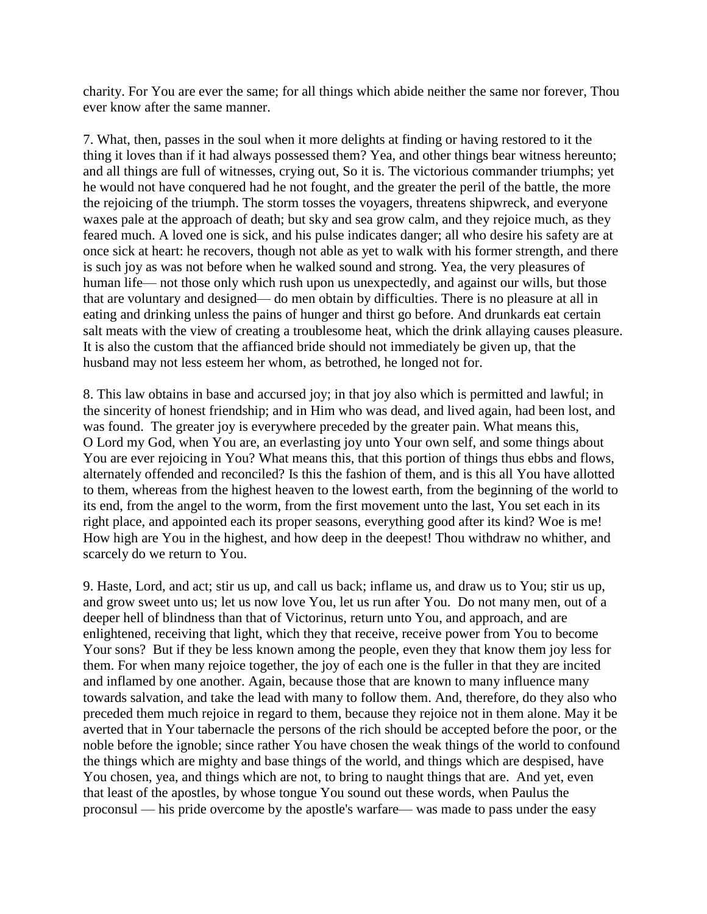charity. For You are ever the same; for all things which abide neither the same nor forever, Thou ever [know](http://www.newadvent.org/cathen/08675a.htm) after the same manner.

7. What, then, passes in the [soul](http://www.newadvent.org/cathen/14153a.htm) when it more delights at finding or having restored to it the thing it loves than if it had always possessed them? Yea, and other things bear [witness](http://www.newadvent.org/cathen/15677a.htm) hereunto; and all things are full of witnesses, crying out, So it is. The victorious commander triumphs; yet he would not have conquered had he not fought, and the greater the peril of the battle, the more the rejoicing of the triumph. The storm tosses the voyagers, threatens shipwreck, and everyone waxes pale at the approach of death; but sky and sea grow calm, and they [rejoice](http://www.newadvent.org/cathen/07131b.htm) much, as they feared much. A loved one is sick, and his pulse indicates danger; all who desire his safety are at once sick at heart: he recovers, though not able as yet to walk with his former strength, and there is such [joy](http://www.newadvent.org/cathen/07131b.htm) as was not before when he walked sound and strong. Yea, the very pleasures of [human](http://www.newadvent.org/cathen/09580c.htm) life— not those only which rush upon us unexpectedly, and against our wills, but those that are [voluntary](http://www.newadvent.org/cathen/15506a.htm) and designed— do men obtain by difficulties. There is no pleasure at all in eating and drinking unless the pains of hunger and thirst go before. And drunkards eat certain [salt](http://www.newadvent.org/cathen/13403b.htm) meats with the view of creating a troublesome heat, which the drink allaying causes pleasure. It is also the custom that the affianced bride should not immediately be given up, that the husband may not less esteem her whom, as [betrothed,](http://www.newadvent.org/cathen/02537c.htm) he longed not for.

8. This law obtains in base and accursed [joy;](http://www.newadvent.org/cathen/07131b.htm) in that [joy](http://www.newadvent.org/cathen/07131b.htm) also which is permitted and lawful; in the sincerity of honest friendship; and in Him who was dead, and lived again, had been lost, and was found. The greater [joy](http://www.newadvent.org/cathen/07131b.htm) is everywhere preceded by the greater pain. What means this, O Lord my [God,](http://www.newadvent.org/cathen/06608a.htm) when You are, an everlasting [joy](http://www.newadvent.org/cathen/07131b.htm) unto Your own self, and some things about You are ever rejoicing in You? What means this, that this portion of things thus ebbs and flows, alternately offended and reconciled? Is this the fashion of them, and is this all You have allotted to them, whereas from the highest heaven to the lowest earth, from the beginning of the world to its end, from the [angel](http://www.newadvent.org/cathen/01476d.htm) to the worm, from the first movement unto the last, You set each in its right place, and appointed each its proper seasons, everything good after its kind? Woe is me! How high are You in the highest, and how deep in the deepest! Thou withdraw no whither, and scarcely do we return to You.

9. Haste, Lord, and act; stir us up, and call us back; inflame us, and draw us to You; stir us up, and grow sweet unto us; let us now [love](http://www.newadvent.org/cathen/09397a.htm) You, let us run after You. Do not many men, out of a deeper [hell](http://www.newadvent.org/cathen/07207a.htm) of blindness than that of Victorinus, return unto You, and approach, and are enlightened, receiving that light, which they that receive, receive power from You to become Your sons? But if they be less [known](http://www.newadvent.org/cathen/08673a.htm) among the people, even they that [know](http://www.newadvent.org/cathen/08673a.htm) them [joy](http://www.newadvent.org/cathen/07131b.htm) less for them. For when many [rejoice](http://www.newadvent.org/cathen/07131b.htm) together, the [joy](http://www.newadvent.org/cathen/07131b.htm) of each one is the fuller in that they are incited and inflamed by one another. Again, because those that are [known](http://www.newadvent.org/cathen/08673a.htm) to many influence many towards [salvation,](http://www.newadvent.org/cathen/13407a.htm) and take the lead with many to follow them. And, therefore, do they also who preceded them much [rejoice](http://www.newadvent.org/cathen/07131b.htm) in regard to them, because they [rejoice](http://www.newadvent.org/cathen/07131b.htm) not in them alone. May it be averted that in Your tabernacle the [persons](http://www.newadvent.org/cathen/11726a.htm) of the rich should be accepted before the [poor,](http://www.newadvent.org/cathen/12327a.htm) or the noble before the ignoble; since rather You have chosen the weak things of the world to confound the things which are mighty and base things of the world, and things which are despised, have You chosen, yea, and things which are not, to bring to naught things that are. And yet, even that least of the [apostles,](http://www.newadvent.org/cathen/01626c.htm) by whose tongue You sound out these words, when Paulus the proconsul — his [pride](http://www.newadvent.org/cathen/12405a.htm) overcome by the apostle's warfare— was made to pass under the easy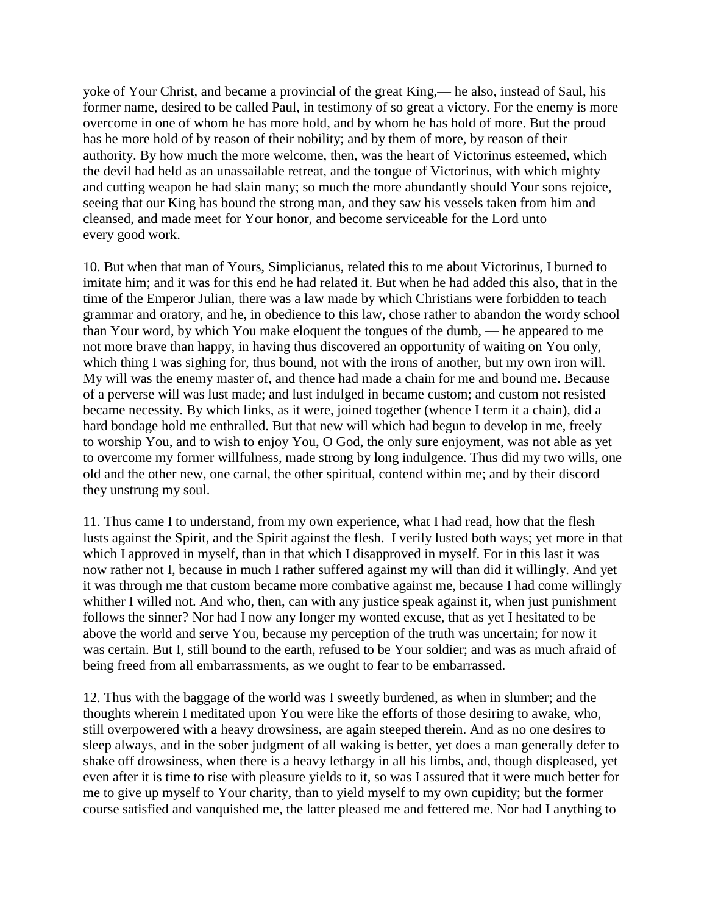yoke of Your Christ, and became a provincial of the great King,— he also, instead of Saul, his former name, desired to be called [Paul,](http://www.newadvent.org/cathen/11567b.htm) in testimony of so great a victory. For the enemy is more overcome in one of whom he has more hold, and by whom he has hold of more. But the [proud](http://www.newadvent.org/cathen/12405a.htm) has he more hold of by reason of their nobility; and by them of more, by reason of their authority. By how much the more welcome, then, was the heart of Victorinus esteemed, which the [devil](http://www.newadvent.org/cathen/04764a.htm) had held as an unassailable retreat, and the tongue of Victorinus, with which mighty and cutting weapon he had slain many; so much the more abundantly should Your sons [rejoice,](http://www.newadvent.org/cathen/07131b.htm) seeing that our King has bound the strong man, and they saw his vessels taken from him and cleansed, and made meet for Your honor, and become serviceable for the Lord unto every good work.

10. But when that man of Yours, Simplicianus, related this to me about Victorinus, I burned to imitate him; and it was for this end he had related it. But when he had added this also, that in the time of the Emperor Julian, there was a law made by which [Christians](http://www.newadvent.org/cathen/03712a.htm) were forbidden to teach grammar and oratory, and he, in [obedience](http://www.newadvent.org/cathen/11181c.htm) to this law, chose rather to abandon the wordy school than Your word, by which You make eloquent the tongues of the dumb, — he appeared to me not more brave than [happy,](http://www.newadvent.org/cathen/07131b.htm) in having thus discovered an opportunity of waiting on You only, which thing I was sighing for, thus bound, not with the irons of another, but my own iron will. My will was the enemy master of, and thence had made a chain for me and bound me. Because of a perverse will was [lust](http://www.newadvent.org/cathen/09438a.htm) made; and [lust](http://www.newadvent.org/cathen/09438a.htm) indulged in became custom; and custom not resisted became necessity. By which links, as it were, joined together (whence I term it a chain), did a hard bondage hold me enthralled. But that new will which had begun to develop in me, freely to worship You, and to wish to enjoy You, O [God,](http://www.newadvent.org/cathen/06608a.htm) the only sure enjoyment, was not able as yet to overcome my former willfulness, made strong by long indulgence. Thus did my two wills, one old and the other new, one carnal, the other spiritual, contend within me; and by their discord they unstrung my [soul.](http://www.newadvent.org/cathen/14153a.htm)

11. Thus came I to understand, from my own experience, what I had read, how that the flesh [lusts](http://www.newadvent.org/cathen/09438a.htm) against the [Spirit,](http://www.newadvent.org/cathen/07409a.htm) and the Spirit against the flesh. I verily lusted both ways; yet more in that which I approved in myself, than in that which I disapproved in myself. For in this last it was now rather not I, because in much I rather suffered against my will than did it willingly. And yet it was through me that custom became more combative against me, because I had come willingly whither I willed not. And who, then, can with any [justice](http://www.newadvent.org/cathen/08571c.htm) speak against it, when [just](http://www.newadvent.org/cathen/08571c.htm) punishment follows the sinner? Nor had I now any longer my wonted excuse, that as yet I hesitated to be above the world and serve You, because my perception of the [truth](http://www.newadvent.org/cathen/15073a.htm) was uncertain; for now it was certain. But I, still bound to the earth, refused to be Your soldier; and was as much afraid of being freed from all embarrassments, as we ought to [fear](http://www.newadvent.org/cathen/06021a.htm) to be embarrassed.

12. Thus with the baggage of the world was I sweetly burdened, as when in slumber; and the thoughts wherein I meditated upon You were like the efforts of those desiring to awake, who, still overpowered with a heavy drowsiness, are again steeped therein. And as no one desires to sleep always, and in the sober judgment of all waking is better, yet does a man generally defer to shake off drowsiness, when there is a heavy lethargy in all his limbs, and, though displeased, yet even after it is time to rise with pleasure yields to it, so was I assured that it were much better for me to give up myself to Your charity, than to yield myself to my own cupidity; but the former course satisfied and vanquished me, the latter pleased me and fettered me. Nor had I anything to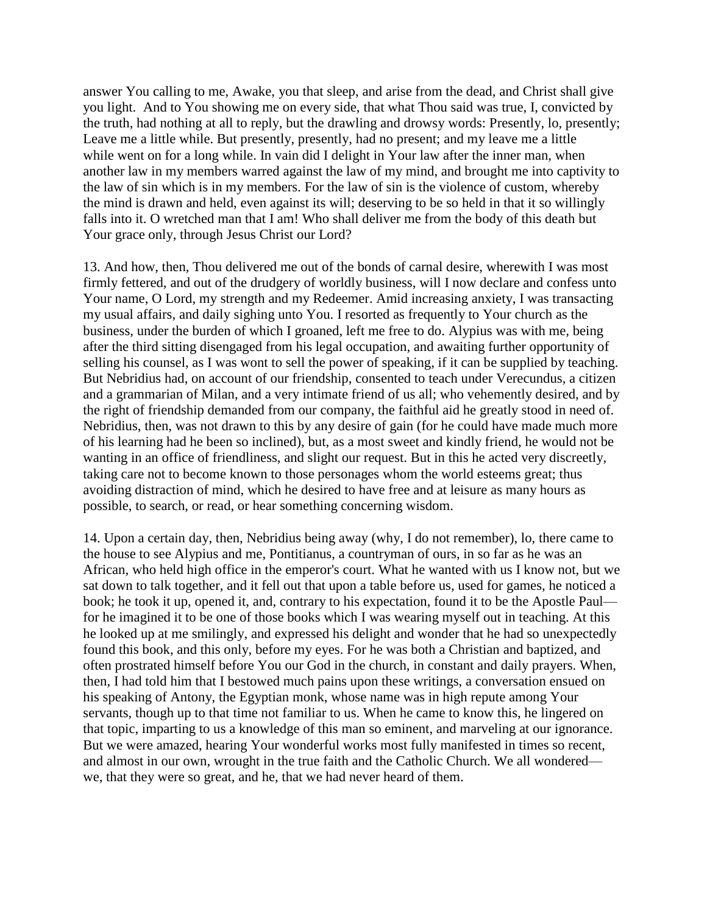answer You calling to me, Awake, you that sleep, and arise from the dead, and Christ shall give you light. And to You showing me on every side, that what Thou said was [true,](http://www.newadvent.org/cathen/15073a.htm) I, convicted by the [truth,](http://www.newadvent.org/cathen/15073a.htm) had nothing at all to reply, but the drawling and drowsy words: Presently, lo, presently; Leave me a little while. But presently, presently, had no present; and my leave me a little while went on for a long while. In vain did I delight in Your law after the inner man, when another law in my members warred against the law of my [mind,](http://www.newadvent.org/cathen/10321a.htm) and brought me into captivity to the law of [sin](http://www.newadvent.org/cathen/14004b.htm) which is in my members. For the law of [sin](http://www.newadvent.org/cathen/14004b.htm) is the [violence](http://www.newadvent.org/cathen/15446a.htm) of custom, whereby the mind is drawn and held, even against its will; deserving to be so held in that it so willingly falls into it. O wretched man that I am! Who shall deliver me from the body of this death but Your [grace](http://www.newadvent.org/cathen/06689a.htm) only, through [Jesus Christ](http://www.newadvent.org/cathen/08374c.htm) our Lord?

13. And how, then, Thou delivered me out of the bonds of carnal desire, wherewith I was most firmly fettered, and out of the drudgery of worldly business, will I now declare and confess unto Your name, O Lord, my strength and my Redeemer. Amid increasing anxiety, I was transacting my usual affairs, and daily sighing unto You. I resorted as frequently to Your church as the business, under the burden of which I groaned, left me free to do. Alypius was with me, being after the third sitting disengaged from his legal occupation, and awaiting further opportunity of selling his counsel, as I was wont to sell the power of speaking, if it can be supplied by teaching. But Nebridius had, on account of our friendship, consented to teach under Verecundus, a citizen and a grammarian of Milan, and a very intimate friend of us all; who vehemently desired, and by the right of friendship demanded from our company, the faithful aid he greatly stood in need of. Nebridius, then, was not drawn to this by any desire of gain (for he could have made much more of his learning had he been so inclined), but, as a most sweet and kindly friend, he would not be wanting in an office of friendliness, and slight our request. But in this he acted very discreetly, taking care not to become [known](http://www.newadvent.org/cathen/08673a.htm) to those personages whom the world esteems great; thus avoiding distraction of [mind,](http://www.newadvent.org/cathen/10321a.htm) which he desired to have free and at leisure as many hours as possible, to search, or read, or hear something concerning wisdom.

14. Upon a certain day, then, Nebridius being away (why, I do not remember), lo, there came to the house to see Alypius and me, Pontitianus, a countryman of ours, in so far as he was an African, who held high office in the emperor's court. What he wanted with us I [know](http://www.newadvent.org/cathen/08673a.htm) not, but we sat down to talk together, and it fell out that upon a table before us, used for games, he noticed a book; he took it up, opened it, and, contrary to his expectation, found it to be the [Apostle Paul](http://www.newadvent.org/cathen/11567b.htm) for he imagined it to be one of those books which I was wearing myself out in teaching. At this he looked up at me smilingly, and expressed his delight and wonder that he had so unexpectedly found this book, and this only, before my eyes. For he was both a [Christian](http://www.newadvent.org/cathen/03712a.htm) and [baptized,](http://www.newadvent.org/cathen/02258b.htm) and often prostrated himself before You our God in the church, in constant and daily [prayers.](http://www.newadvent.org/cathen/12345b.htm) When, then, I had told him that I bestowed much pains upon these writings, a conversation ensued on his speaking of Antony, the [Egyptian](http://www.newadvent.org/cathen/05329b.htm) [monk,](http://www.newadvent.org/cathen/10487b.htm) whose name was in high repute among Your servants, though up to that time not familiar to us. When he came to [know](http://www.newadvent.org/cathen/08673a.htm) this, he lingered on that topic, imparting to us a [knowledge](http://www.newadvent.org/cathen/08673a.htm) of this man so eminent, and marveling at our [ignorance.](http://www.newadvent.org/cathen/07648a.htm) But we were amazed, hearing Your [wonderful works](http://www.newadvent.org/cathen/10338a.htm) most fully manifested in times so recent, and almost in our own, wrought in the [true](http://www.newadvent.org/cathen/15073a.htm) [faith](http://www.newadvent.org/cathen/05752c.htm) and the [Catholic](http://www.newadvent.org/cathen/03449a.htm) [Church.](http://www.newadvent.org/cathen/03744a.htm) We all wondered we, that they were so great, and he, that we had never heard of them.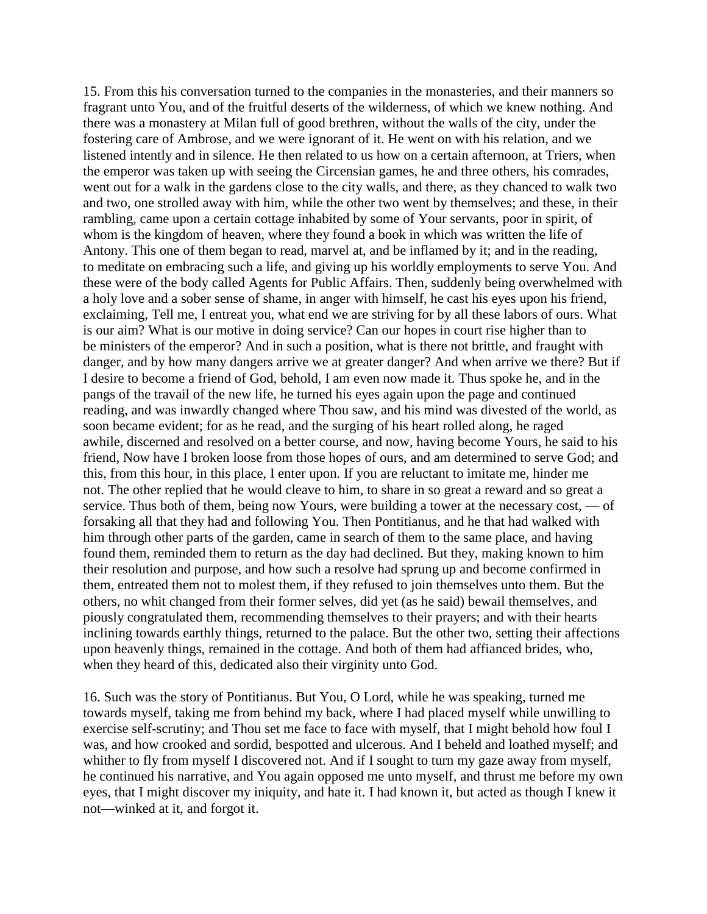15. From this his conversation turned to the companies in the [monasteries,](http://www.newadvent.org/cathen/04340c.htm) and their manners so fragrant unto You, and of the fruitful deserts of the wilderness, of which we [knew](http://www.newadvent.org/cathen/08673a.htm) nothing. And there was a [monastery](http://www.newadvent.org/cathen/04340c.htm) at Milan full of good brethren, without the walls of the city, under the fostering care of Ambrose, and we were [ignorant](http://www.newadvent.org/cathen/07648a.htm) of it. He went on with his relation, and we listened intently and in silence. He then related to us how on a certain afternoon, at Triers, when the emperor was taken up with seeing the Circensian games, he and three others, his comrades, went out for a walk in the gardens close to the city walls, and there, as they chanced to walk two and two, one strolled away with him, while the other two went by themselves; and these, in their rambling, came upon a certain cottage inhabited by some of Your servants, poor in spirit, of whom is the [kingdom of heaven,](http://www.newadvent.org/cathen/08646a.htm) where they found a book in which was written the life of Antony. This one of them began to read, marvel at, and be inflamed by it; and in the reading, to meditate on embracing such a life, and giving up his worldly employments to serve You. And these were of the body called Agents for Public Affairs. Then, suddenly being overwhelmed with a [holy](http://www.newadvent.org/cathen/07386a.htm) [love](http://www.newadvent.org/cathen/09397a.htm) and a sober sense of shame, in [anger](http://www.newadvent.org/cathen/01489a.htm) with himself, he cast his eyes upon his friend, exclaiming, Tell me, I entreat you, what end we are striving for by all these labors of ours. What is our aim? What is our motive in doing service? Can our hopes in court rise higher than to be ministers of the emperor? And in such a position, what is there not brittle, and fraught with danger, and by how many dangers arrive we at greater danger? And when arrive we there? But if I desire to become a friend of [God,](http://www.newadvent.org/cathen/06608a.htm) behold, I am even now made it. Thus spoke he, and in the pangs of the travail of the new life, he turned his eyes again upon the page and continued reading, and was inwardly changed where Thou saw, and his mind was divested of the world, as soon became evident; for as he read, and the surging of his heart rolled along, he raged awhile, discerned and resolved on a better course, and now, having become Yours, he said to his friend, Now have I broken loose from those hopes of ours, and am determined to serve [God;](http://www.newadvent.org/cathen/06608a.htm) and this, from this hour, in this place, I enter upon. If you are reluctant to imitate me, hinder me not. The other replied that he would cleave to him, to share in so great a reward and so great a service. Thus both of them, being now Yours, were building a tower at the necessary cost, — of forsaking all that they had and following You. Then Pontitianus, and he that had walked with him through other parts of the garden, came in search of them to the same place, and having found them, reminded them to return as the day had declined. But they, making [known](http://www.newadvent.org/cathen/08673a.htm) to him their resolution and purpose, and how such a resolve had sprung up and become confirmed in them, entreated them not to molest them, if they refused to join themselves unto them. But the others, no whit changed from their former selves, did yet (as he said) bewail themselves, and piously congratulated them, recommending themselves to their [prayers;](http://www.newadvent.org/cathen/12345b.htm) and with their hearts inclining towards earthly things, returned to the palace. But the other two, setting their affections upon heavenly things, remained in the cottage. And both of them had affianced brides, who, when they heard of this, dedicated also their [virginity](http://www.newadvent.org/cathen/15458a.htm) unto [God.](http://www.newadvent.org/cathen/06608a.htm)

16. Such was the story of Pontitianus. But You, O Lord, while he was speaking, turned me towards myself, taking me from behind my back, where I had placed myself while unwilling to exercise self-scrutiny; and Thou set me face to face with myself, that I might behold how foul I was, and how crooked and sordid, bespotted and ulcerous. And I beheld and loathed myself; and whither to fly from myself I discovered not. And if I sought to turn my gaze away from myself, he continued his narrative, and You again opposed me unto myself, and thrust me before my own eyes, that I might discover my iniquity, and [hate](http://www.newadvent.org/cathen/07149b.htm) it. I had [known](http://www.newadvent.org/cathen/08673a.htm) it, but acted as though I [knew](http://www.newadvent.org/cathen/08673a.htm) it not—winked at it, and forgot it.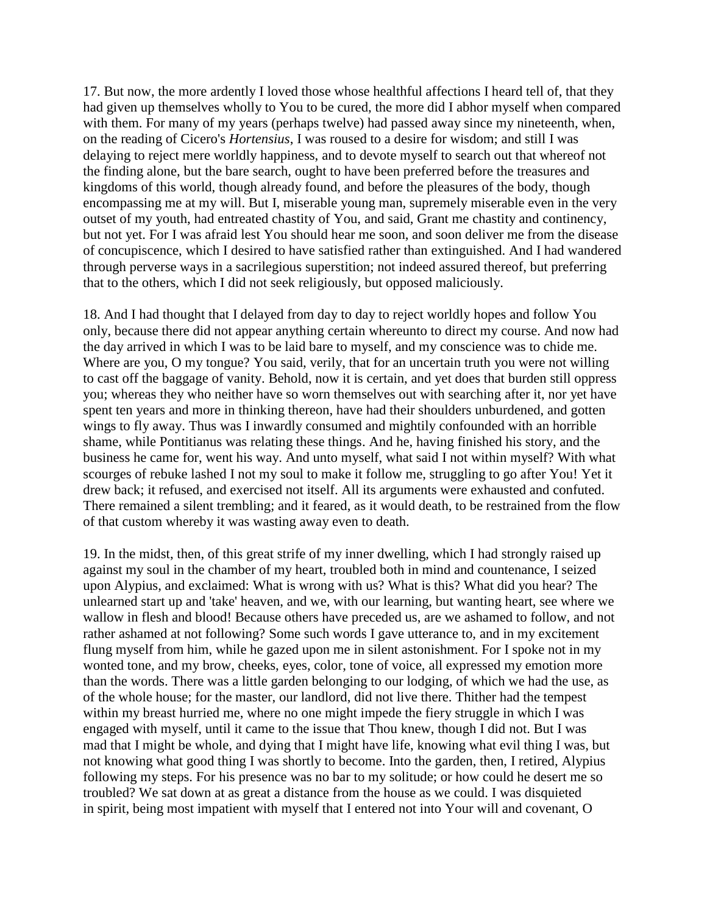17. But now, the more ardently I loved those whose healthful affections I heard tell of, that they had given up themselves wholly to You to be cured, the more did I abhor myself when compared with them. For many of my years (perhaps twelve) had passed away since my nineteenth, when, on the reading of Cicero's *Hortensius*, I was roused to a desire for wisdom; and still I was delaying to reject mere worldly [happiness,](http://www.newadvent.org/cathen/07131b.htm) and to devote myself to search out that whereof not the finding alone, but the bare search, ought to have been preferred before the treasures and kingdoms of this world, though already found, and before the pleasures of the body, though encompassing me at my will. But I, miserable young man, supremely miserable even in the very outset of my youth, had entreated [chastity](http://www.newadvent.org/cathen/03637d.htm) of You, and said, Grant me [chastity](http://www.newadvent.org/cathen/03637d.htm) and continency, but not yet. For I was afraid lest You should hear me soon, and soon deliver me from the disease of concupiscence, which I desired to have satisfied rather than extinguished. And I had wandered through perverse ways in a [sacrilegious](http://www.newadvent.org/cathen/13321a.htm) [superstition;](http://www.newadvent.org/cathen/14339a.htm) not indeed assured thereof, but preferring that to the others, which I did not seek religiously, but opposed maliciously.

18. And I had thought that I delayed from day to day to reject worldly hopes and follow You only, because there did not appear anything certain whereunto to direct my course. And now had the day arrived in which I was to be laid bare to myself, and my [conscience](http://www.newadvent.org/cathen/04268a.htm) was to chide me. Where are you, O my tongue? You said, verily, that for an uncertain [truth](http://www.newadvent.org/cathen/15073a.htm) you were not willing to cast off the baggage of vanity. Behold, now it is certain, and yet does that burden still oppress you; whereas they who neither have so worn themselves out with searching after it, nor yet have spent ten years and more in thinking thereon, have had their shoulders unburdened, and gotten wings to fly away. Thus was I inwardly consumed and mightily confounded with an horrible shame, while Pontitianus was relating these things. And he, having finished his story, and the business he came for, went his way. And unto myself, what said I not within myself? With what scourges of rebuke lashed I not my [soul](http://www.newadvent.org/cathen/14153a.htm) to make it follow me, struggling to go after You! Yet it drew back; it refused, and exercised not itself. All its arguments were exhausted and confuted. There remained a silent trembling; and it feared, as it would death, to be restrained from the flow of that custom whereby it was wasting away even to death.

19. In the midst, then, of this great strife of my inner dwelling, which I had strongly raised up against my [soul](http://www.newadvent.org/cathen/14153a.htm) in the chamber of my heart, troubled both in mind and countenance, I seized upon Alypius, and exclaimed: What is wrong with us? What is this? What did you hear? The unlearned start up and 'take' heaven, and we, with our learning, but wanting heart, see where we wallow in flesh and blood! Because others have preceded us, are we ashamed to follow, and not rather ashamed at not following? Some such words I gave utterance to, and in my excitement flung myself from him, while he gazed upon me in silent astonishment. For I spoke not in my wonted tone, and my brow, cheeks, eyes, color, tone of voice, all expressed my emotion more than the words. There was a little garden belonging to our lodging, of which we had the use, as of the whole house; for the master, our landlord, did not live there. Thither had the tempest within my breast hurried me, where no one might impede the fiery struggle in which I was engaged with myself, until it came to the issue that Thou [knew,](http://www.newadvent.org/cathen/08675a.htm) though I did not. But I was mad that I might be whole, and dying that I might have life, [knowing](http://www.newadvent.org/cathen/08673a.htm) what [evil](http://www.newadvent.org/cathen/05649a.htm) thing I was, but not [knowing](http://www.newadvent.org/cathen/08673a.htm) what good thing I was shortly to become. Into the garden, then, I retired, Alypius following my steps. For his presence was no bar to my solitude; or how could he desert me so troubled? We sat down at as great a distance from the house as we could. I was disquieted in spirit, being most impatient with myself that I entered not into Your will and covenant, O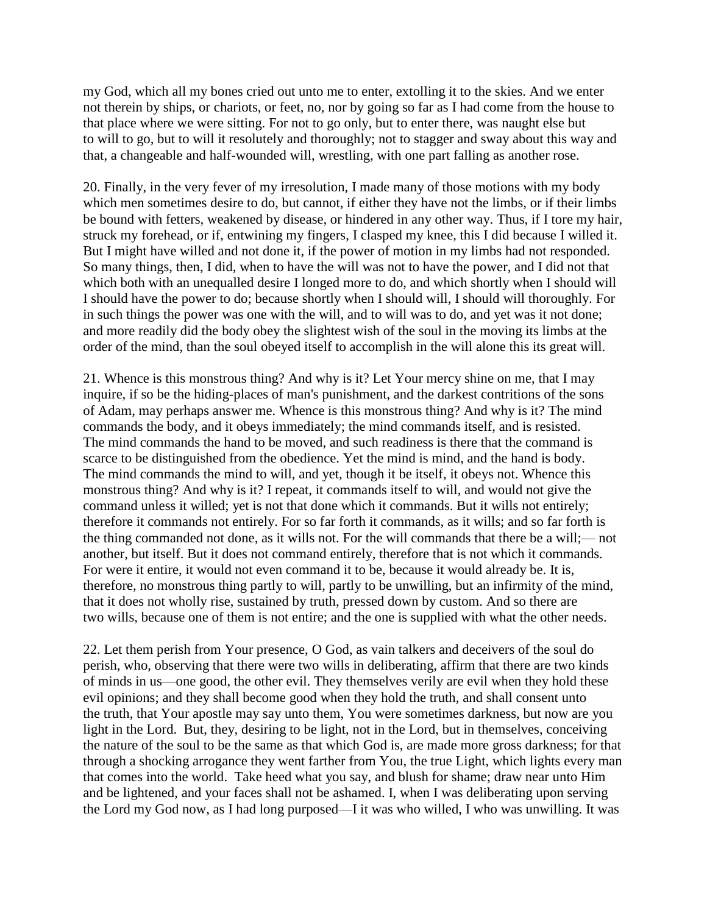my [God,](http://www.newadvent.org/cathen/06608a.htm) which all my bones cried out unto me to enter, extolling it to the skies. And we enter not therein by ships, or chariots, or feet, no, nor by going so far as I had come from the house to that place where we were sitting. For not to go only, but to enter there, was naught else but to will to go, but to will it resolutely and thoroughly; not to stagger and sway about this way and that, a changeable and half-wounded will, wrestling, with one part falling as another rose.

20. Finally, in the very fever of my irresolution, I made many of those motions with my body which men sometimes desire to do, but cannot, if either they have not the limbs, or if their limbs be bound with fetters, weakened by disease, or hindered in any other way. Thus, if I tore my hair, struck my forehead, or if, entwining my fingers, I clasped my knee, this I did because I willed it. But I might have willed and not done it, if the power of motion in my limbs had not responded. So many things, then, I did, when to have the will was not to have the power, and I did not that which both with an unequalled desire I longed more to do, and which shortly when I should will I should have the power to do; because shortly when I should will, I should will thoroughly. For in such things the power was one with the will, and to will was to do, and yet was it not done; and more readily did the body [obey](http://www.newadvent.org/cathen/11181c.htm) the slightest wish of the [soul](http://www.newadvent.org/cathen/14153a.htm) in the moving its limbs at the order of the [mind,](http://www.newadvent.org/cathen/10321a.htm) than the [soul](http://www.newadvent.org/cathen/14153a.htm) [obeyed](http://www.newadvent.org/cathen/11181c.htm) itself to accomplish in the will alone this its great will.

21. Whence is this monstrous thing? And why is it? Let Your mercy shine on me, that I may inquire, if so be the hiding-places of [man's](http://www.newadvent.org/cathen/09580c.htm) punishment, and the darkest contritions of the sons of Adam, may perhaps answer me. Whence is this monstrous thing? And why is it? The mind commands the body, and it obeys immediately; the mind commands itself, and is resisted. The mind commands the hand to be moved, and such readiness is there that the command is scarce to be distinguished from the [obedience.](http://www.newadvent.org/cathen/11181c.htm) Yet the mind is [mind,](http://www.newadvent.org/cathen/10321a.htm) and the hand is body. The mind commands the mind to will, and yet, though it be itself, it obeys not. Whence this monstrous thing? And why is it? I repeat, it commands itself to will, and would not give the command unless it willed; yet is not that done which it commands. But it wills not entirely; therefore it commands not entirely. For so far forth it commands, as it wills; and so far forth is the thing commanded not done, as it wills not. For the will commands that there be a will;— not another, but itself. But it does not command entirely, therefore that is not which it commands. For were it entire, it would not even command it to be, because it would already be. It is, therefore, no monstrous thing partly to will, partly to be unwilling, but an infirmity of the [mind,](http://www.newadvent.org/cathen/10321a.htm) that it does not wholly rise, sustained by [truth,](http://www.newadvent.org/cathen/15073a.htm) pressed down by custom. And so there are two wills, because one of them is not entire; and the one is supplied with what the other needs.

22. Let them perish from Your presence, O [God,](http://www.newadvent.org/cathen/06608a.htm) as vain talkers and deceivers of the [soul](http://www.newadvent.org/cathen/14153a.htm) do perish, who, observing that there were two wills in deliberating, affirm that there are two kinds of minds in us—one good, the other [evil.](http://www.newadvent.org/cathen/05649a.htm) They themselves verily are [evil](http://www.newadvent.org/cathen/05649a.htm) when they hold these [evil](http://www.newadvent.org/cathen/05649a.htm) opinions; and they shall become good when they hold the [truth,](http://www.newadvent.org/cathen/15073a.htm) and shall consent unto the [truth,](http://www.newadvent.org/cathen/15073a.htm) that Your apostle may say unto them, You were sometimes darkness, but now are you light in the Lord. But, they, desiring to be light, not in the [Lord,](http://www.newadvent.org/cathen/08374c.htm) but in themselves, conceiving the [nature](http://www.newadvent.org/cathen/10715a.htm) of the [soul](http://www.newadvent.org/cathen/14153a.htm) to be the same as that which [God](http://www.newadvent.org/cathen/06608a.htm) is, are made more gross darkness; for that through a shocking arrogance they went farther from You, the [true](http://www.newadvent.org/cathen/15073a.htm) Light, which lights every man that comes into the world. Take heed what you say, and blush for shame; draw near unto Him and be lightened, and your faces shall not be ashamed. I, when I was deliberating upon serving the Lord my God now, as I had long purposed—I it was who willed, I who was unwilling. It was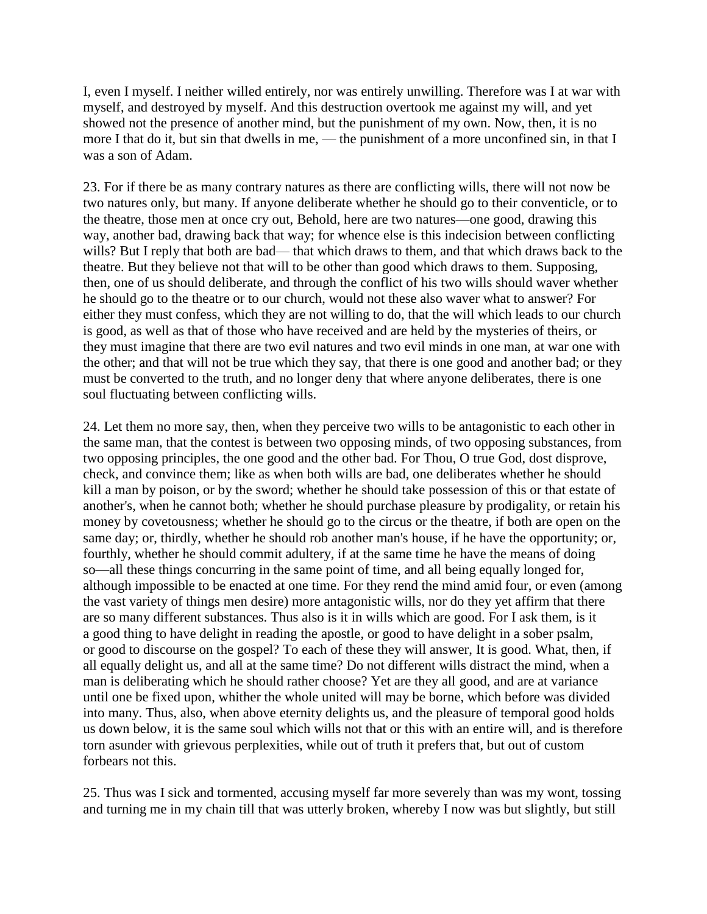I, even I myself. I neither willed entirely, nor was entirely unwilling. Therefore was I at [war](http://www.newadvent.org/cathen/15546c.htm) with myself, and destroyed by myself. And this destruction overtook me against my will, and yet showed not the presence of another [mind,](http://www.newadvent.org/cathen/10321a.htm) but the punishment of my own. Now, then, it is no more I that do it, but [sin](http://www.newadvent.org/cathen/14004b.htm) that dwells in me, — the punishment of a more unconfined [sin,](http://www.newadvent.org/cathen/14004b.htm) in that I was a son of Adam.

23. For if there be as many contrary natures as there are conflicting wills, there will not now be two [natures](http://www.newadvent.org/cathen/10715a.htm) only, but many. If anyone deliberate whether he should go to their conventicle, or to the theatre, those men at once cry out, Behold, here are two [natures—](http://www.newadvent.org/cathen/10715a.htm)one good, drawing this way, another bad, drawing back that way; for whence else is this indecision between conflicting wills? But I reply that both are bad— that which draws to them, and that which draws back to the theatre. But they [believe](http://www.newadvent.org/cathen/02408b.htm) not that will to be other than good which draws to them. Supposing, then, one of us should deliberate, and through the conflict of his two wills should waver whether he should go to the theatre or to our church, would not these also waver what to answer? For either they must confess, which they are not willing to do, that the will which leads to our church is [good,](http://www.newadvent.org/cathen/06636b.htm) as well as that of those who have received and are held by the [mysteries](http://www.newadvent.org/cathen/10662a.htm) of theirs, or they must [imagine](http://www.newadvent.org/cathen/07672a.htm) that there are two [evil](http://www.newadvent.org/cathen/05649a.htm) natures and two [evil](http://www.newadvent.org/cathen/05649a.htm) minds in one man, at [war](http://www.newadvent.org/cathen/15546c.htm) one with the other; and that will not be [true](http://www.newadvent.org/cathen/15073a.htm) which they say, that there is one good and another bad; or they must be converted to the [truth,](http://www.newadvent.org/cathen/15073a.htm) and no longer deny that where anyone deliberates, there is one [soul](http://www.newadvent.org/cathen/14153a.htm) fluctuating between conflicting wills.

24. Let them no more say, then, when they perceive two wills to be antagonistic to each other in the same man, that the contest is between two opposing minds, of two opposing substances, from two opposing principles, the one good and the other bad. For Thou, O [true](http://www.newadvent.org/cathen/15073a.htm) [God,](http://www.newadvent.org/cathen/06608a.htm) dost disprove, check, and convince them; like as when both wills are bad, one deliberates whether he should kill a man by poison, or by the sword; whether he should take possession of this or that estate of another's, when he cannot both; whether he should purchase pleasure by prodigality, or retain his money by [covetousness;](http://www.newadvent.org/cathen/04462a.htm) whether he should go to the circus or the theatre, if both are open on the same day; or, thirdly, whether he should rob another man's house, if he have the opportunity; or, fourthly, whether he should commit [adultery,](http://www.newadvent.org/cathen/01163a.htm) if at the same time he have the means of doing so—all these things concurring in the same point of time, and all being equally longed for, although impossible to be enacted at one time. For they rend the mind amid four, or even (among the vast variety of things men desire) more antagonistic wills, nor do they yet affirm that there are so many different substances. Thus also is it in wills which are good. For I ask them, is it a good thing to have delight in reading the apostle, or good to have delight in a sober psalm, or good to discourse on the gospel? To each of these they will answer, It is [good.](http://www.newadvent.org/cathen/06636b.htm) What, then, if all equally delight us, and all at the same time? Do not different wills distract the [mind,](http://www.newadvent.org/cathen/10321a.htm) when a man is deliberating which he should rather choose? Yet are they all good, and are at variance until one be fixed upon, whither the whole united will may be borne, which before was divided into many. Thus, also, when above [eternity](http://www.newadvent.org/cathen/05551b.htm) delights us, and the pleasure of temporal good holds us down below, it is the same [soul](http://www.newadvent.org/cathen/14153a.htm) which wills not that or this with an entire will, and is therefore torn asunder with grievous perplexities, while out of [truth](http://www.newadvent.org/cathen/15073a.htm) it prefers that, but out of custom forbears not this.

25. Thus was I sick and tormented, accusing myself far more severely than was my wont, tossing and turning me in my chain till that was utterly broken, whereby I now was but slightly, but still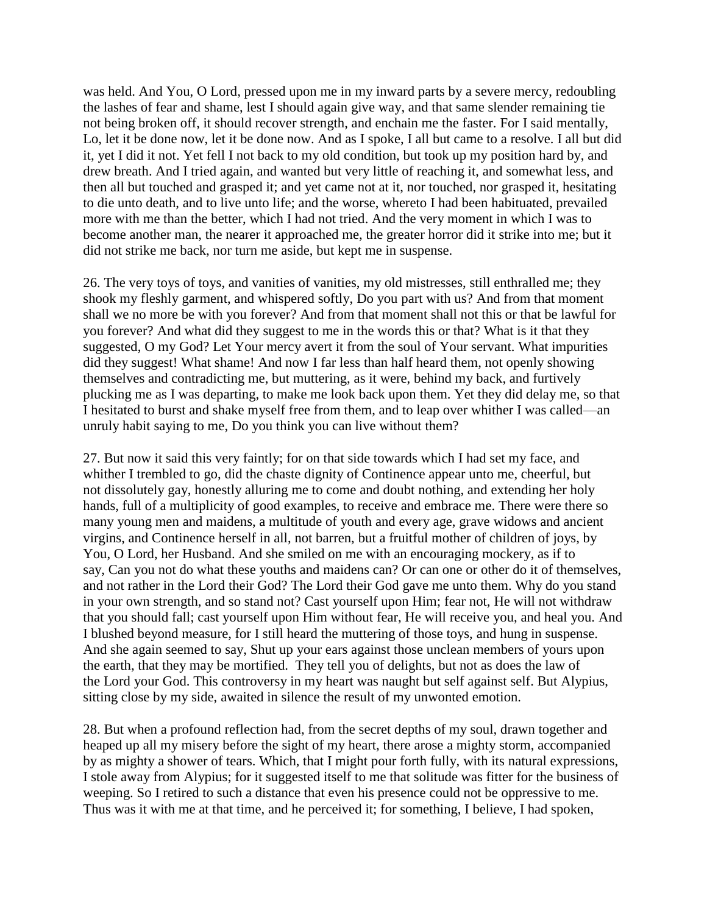was held. And You, O Lord, pressed upon me in my inward parts by a severe mercy, redoubling the lashes of [fear](http://www.newadvent.org/cathen/06021a.htm) and shame, lest I should again give way, and that same slender remaining tie not being broken off, it should recover strength, and enchain me the faster. For I said mentally, Lo, let it be done now, let it be done now. And as I spoke, I all but came to a resolve. I all but did it, yet I did it not. Yet fell I not back to my old condition, but took up my position hard by, and drew breath. And I tried again, and wanted but very little of reaching it, and somewhat less, and then all but touched and grasped it; and yet came not at it, nor touched, nor grasped it, hesitating to die unto death, and to live unto life; and the worse, whereto I had been habituated, prevailed more with me than the better, which I had not tried. And the very moment in which I was to become another man, the nearer it approached me, the greater horror did it strike into me; but it did not strike me back, nor turn me aside, but kept me in suspense.

26. The very toys of toys, and vanities of vanities, my old mistresses, still enthralled me; they shook my fleshly garment, and whispered softly, Do you part with us? And from that moment shall we no more be with you forever? And from that moment shall not this or that be lawful for you forever? And what did they suggest to me in the words this or that? What is it that they suggested, O my God? Let Your mercy avert it from the [soul](http://www.newadvent.org/cathen/14153a.htm) of Your servant. What impurities did they suggest! What shame! And now I far less than half heard them, not openly showing themselves and contradicting me, but muttering, as it were, behind my back, and furtively plucking me as I was departing, to make me look back upon them. Yet they did delay me, so that I hesitated to burst and shake myself free from them, and to leap over whither I was called—an unruly habit saying to me, Do you think you can live without them?

27. But now it said this very faintly; for on that side towards which I had set my face, and whither I trembled to go, did the chaste dignity of Continence appear unto me, cheerful, but not dissolutely gay, honestly alluring me to come and [doubt](http://www.newadvent.org/cathen/05141a.htm) nothing, and extending her [holy](http://www.newadvent.org/cathen/07386a.htm) hands, full of a multiplicity of good examples, to receive and embrace me. There were there so many young men and maidens, a multitude of youth and every age, grave [widows](http://www.newadvent.org/cathen/15617c.htm) and ancient [virgins,](http://www.newadvent.org/cathen/15458a.htm) and Continence herself in all, not barren, but a fruitful mother of children of joys, by You, O Lord, her Husband. And she smiled on me with an encouraging mockery, as if to say, Can you not do what these youths and maidens can? Or can one or other do it of themselves, and not rather in the Lord their God? The Lord their God gave me unto them. Why do you stand in your own strength, and so stand not? Cast yourself upon Him; [fear](http://www.newadvent.org/cathen/06021a.htm) not, He will not withdraw that you should fall; cast yourself upon Him without [fear,](http://www.newadvent.org/cathen/06021a.htm) He will receive you, and heal you. And I blushed beyond measure, for I still heard the muttering of those toys, and hung in suspense. And she again seemed to say, Shut up your ears against those unclean members of yours upon the earth, that they may be mortified. They tell you of delights, but not as does the law of the Lord your God. This controversy in my heart was naught but self against self. But Alypius, sitting close by my side, awaited in silence the result of my unwonted emotion.

28. But when a profound reflection had, from the secret depths of my [soul,](http://www.newadvent.org/cathen/14153a.htm) drawn together and heaped up all my misery before the sight of my heart, there arose a mighty storm, accompanied by as mighty a shower of tears. Which, that I might pour forth fully, with its natural expressions, I stole away from Alypius; for it suggested itself to me that solitude was fitter for the business of weeping. So I retired to such a distance that even his presence could not be oppressive to me. Thus was it with me at that time, and he perceived it; for something, I [believe,](http://www.newadvent.org/cathen/02408b.htm) I had spoken,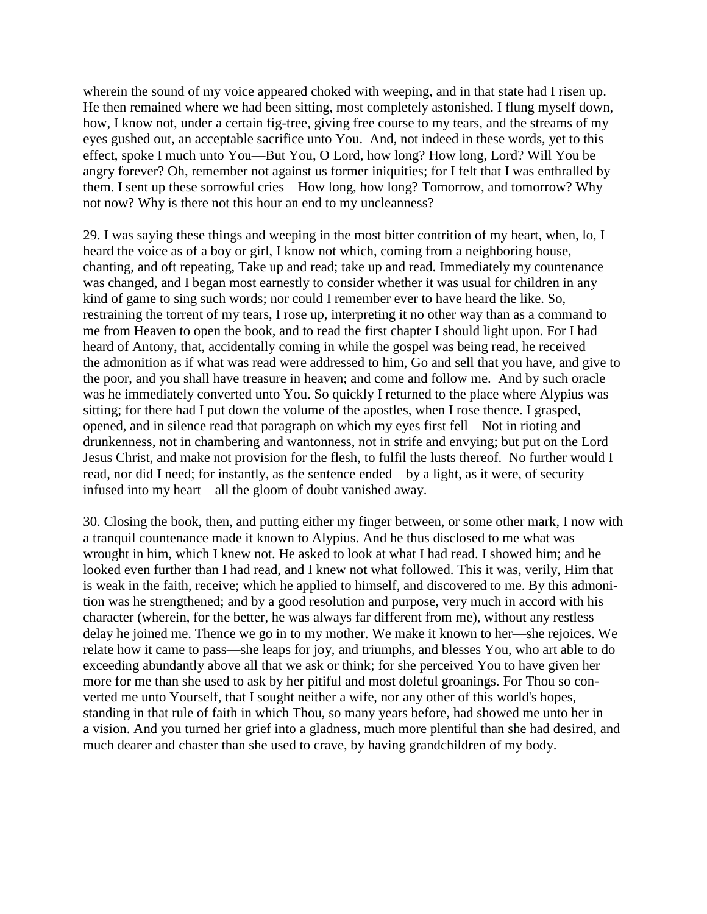wherein the sound of my voice appeared choked with weeping, and in that state had I risen up. He then remained where we had been sitting, most completely astonished. I flung myself down, how, I [know](http://www.newadvent.org/cathen/08673a.htm) not, under a certain fig-tree, giving free course to my tears, and the streams of my eyes gushed out, an acceptable [sacrifice](http://www.newadvent.org/cathen/13309a.htm) unto You. And, not indeed in these words, yet to this effect, spoke I much unto You—But You, O Lord, how long? How long, Lord? Will You be [angry](http://www.newadvent.org/cathen/01489a.htm) forever? Oh, remember not against us former iniquities; for I felt that I was enthralled by them. I sent up these sorrowful cries—How long, how long? Tomorrow, and tomorrow? Why not now? Why is there not this hour an end to my uncleanness?

29. I was saying these things and weeping in the most bitter contrition of my heart, when, lo, I heard the voice as of a boy or girl, I [know](http://www.newadvent.org/cathen/08673a.htm) not which, coming from a neighboring house, chanting, and oft repeating, Take up and read; take up and read. Immediately my countenance was changed, and I began most earnestly to consider whether it was usual for children in any kind of game to sing such words; nor could I remember ever to have heard the like. So, restraining the torrent of my tears, I rose up, interpreting it no other way than as a command to me from [Heaven](http://www.newadvent.org/cathen/07170a.htm) to open the book, and to read the first chapter I should light upon. For I had heard of Antony, that, accidentally coming in while the gospel was being read, he received the admonition as if what was read were addressed to him, Go and sell that you have, and give to the [poor,](http://www.newadvent.org/cathen/12327a.htm) and you shall have treasure in heaven; and come and follow me. And by such oracle was he immediately converted unto You. So quickly I returned to the place where Alypius was sitting; for there had I put down the volume of the [apostles,](http://www.newadvent.org/cathen/01626c.htm) when I rose thence. I grasped, opened, and in silence read that paragraph on which my eyes first fell—Not in rioting and [drunkenness,](http://www.newadvent.org/cathen/01274a.htm) not in chambering and wantonness, not in strife and envying; but put on the [Lord](http://www.newadvent.org/cathen/08374c.htm)  [Jesus Christ,](http://www.newadvent.org/cathen/08374c.htm) and make not provision for the flesh, to fulfil the [lusts](http://www.newadvent.org/cathen/09438a.htm) thereof. No further would I read, nor did I need; for instantly, as the sentence ended—by a light, as it were, of security infused into my heart—all the gloom of [doubt](http://www.newadvent.org/cathen/05141a.htm) vanished away.

30. Closing the book, then, and putting either my finger between, or some other mark, I now with a tranquil countenance made it [known](http://www.newadvent.org/cathen/08673a.htm) to Alypius. And he thus disclosed to me what was wrought in him, which I [knew](http://www.newadvent.org/cathen/08673a.htm) not. He asked to look at what I had read. I showed him; and he looked even further than I had read, and I [knew](http://www.newadvent.org/cathen/08673a.htm) not what followed. This it was, verily, Him that is weak in the [faith,](http://www.newadvent.org/cathen/05752c.htm) receive; which he applied to himself, and discovered to me. By this admonition was he strengthened; and by a good resolution and purpose, very much in accord with his character (wherein, for the better, he was always far different from me), without any restless delay he joined me. Thence we go in to my mother. We make it [known](http://www.newadvent.org/cathen/08673a.htm) to her—she rejoices. We relate how it came to pass—she leaps for [joy,](http://www.newadvent.org/cathen/07131b.htm) and triumphs, and blesses You, who art able to do exceeding abundantly above all that we ask or think; for she perceived You to have given her more for me than she used to ask by her pitiful and most doleful groanings. For Thou so converted me unto Yourself, that I sought neither a wife, nor any other of this world's hopes, standing in that rule of [faith](http://www.newadvent.org/cathen/05752c.htm) in which Thou, so many years before, had showed me unto her in a vision. And you turned her grief into a [gladness,](http://www.newadvent.org/cathen/07131b.htm) much more plentiful than she had desired, and much dearer and chaster than she used to crave, by having grandchildren of my body.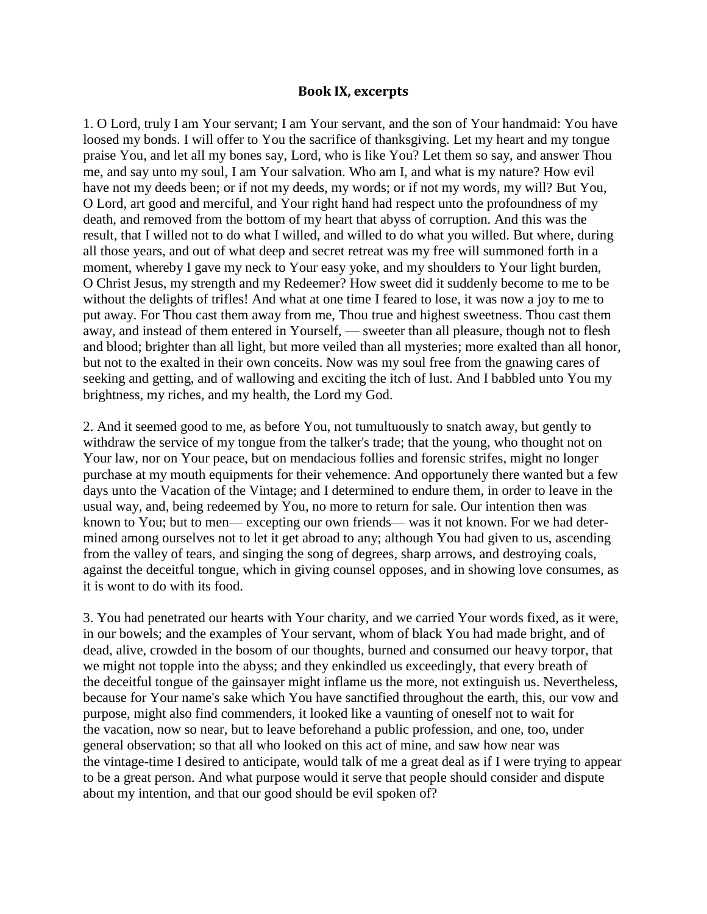# **Book IX, excerpts**

1. O Lord, [truly](http://www.newadvent.org/cathen/15073a.htm) I am Your servant; I am Your servant, and the son of Your handmaid: You have loosed my bonds. I will offer to You the [sacrifice](http://www.newadvent.org/cathen/13309a.htm) of thanksgiving. Let my heart and my tongue praise You, and let all my bones say, Lord, who is like You? Let them so say, and answer Thou me, and say unto my [soul,](http://www.newadvent.org/cathen/14153a.htm) I am Your [salvation.](http://www.newadvent.org/cathen/13407a.htm) Who am I, and what is my nature? How [evil](http://www.newadvent.org/cathen/05649a.htm) have not my [deeds](http://www.newadvent.org/cathen/01115a.htm) been; or if not my [deeds,](http://www.newadvent.org/cathen/01115a.htm) my words; or if not my words, my will? But You, O Lord, art good and merciful, and Your right hand had respect unto the profoundness of my death, and removed from the bottom of my heart that abyss of corruption. And this was the result, that I willed not to do what I willed, and willed to do what you willed. But where, during all those years, and out of what deep and secret retreat was my [free will](http://www.newadvent.org/cathen/06259a.htm) summoned forth in a moment, whereby I gave my neck to Your easy yoke, and my shoulders to Your light burden, O Christ Jesus, my strength and my Redeemer? How sweet did it suddenly become to me to be without the delights of trifles! And what at one time I feared to lose, it was now a [joy](http://www.newadvent.org/cathen/07131b.htm) to me to put away. For Thou cast them away from me, Thou [true](http://www.newadvent.org/cathen/15073a.htm) and highest sweetness. Thou cast them away, and instead of them entered in Yourself, — sweeter than all pleasure, though not to flesh and blood; brighter than all light, but more veiled than all [mysteries;](http://www.newadvent.org/cathen/10662a.htm) more exalted than all honor, but not to the exalted in their own conceits. Now was my [soul](http://www.newadvent.org/cathen/14153a.htm) free from the gnawing cares of seeking and getting, and of wallowing and exciting the itch of [lust.](http://www.newadvent.org/cathen/09438a.htm) And I babbled unto You my brightness, my riches, and my health, the Lord my God.

2. And it seemed [good](http://www.newadvent.org/cathen/06636b.htm) to me, as before You, not tumultuously to snatch away, but gently to withdraw the service of my tongue from the talker's trade; that the young, who thought not on Your law, nor on Your peace, but on mendacious follies and forensic strifes, might no longer purchase at my mouth equipments for their vehemence. And opportunely there wanted but a few days unto the Vacation of the Vintage; and I determined to endure them, in order to leave in the usual way, and, being redeemed by You, no more to return for sale. Our intention then was [known](http://www.newadvent.org/cathen/08673a.htm) to You; but to men— excepting our own friends— was it not [known.](http://www.newadvent.org/cathen/08673a.htm) For we had determined among ourselves not to let it get abroad to any; although You had given to us, ascending from the valley of tears, and singing the song of degrees, sharp arrows, and destroying coals, against the deceitful tongue, which in giving counsel opposes, and in showing [love](http://www.newadvent.org/cathen/09397a.htm) consumes, as it is wont to do with its food.

3. You had penetrated our hearts with Your charity, and we carried Your words fixed, as it were, in our bowels; and the examples of Your servant, whom of black You had made bright, and of dead, alive, crowded in the bosom of our thoughts, burned and consumed our heavy torpor, that we might not topple into the abyss; and they enkindled us exceedingly, that every breath of the deceitful tongue of the gainsayer might inflame us the more, not extinguish us. Nevertheless, because for Your name's sake which You have sanctified throughout the earth, this, our vow and purpose, might also find commenders, it looked like a vaunting of oneself not to wait for the vacation, now so near, but to leave beforehand a public profession, and one, too, under general observation; so that all who looked on this act of mine, and saw how near was the vintage-time I desired to anticipate, would talk of me a great deal as if I were trying to appear to be a great person. And what purpose would it serve that people should consider and dispute about my intention, and that our good should be [evil](http://www.newadvent.org/cathen/05649a.htm) spoken of?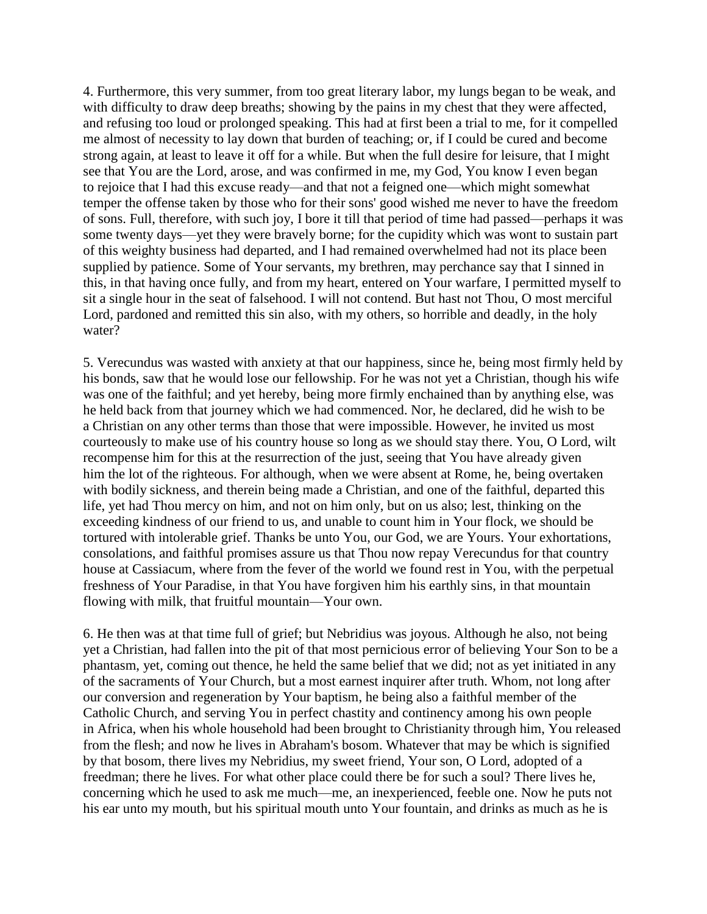4. Furthermore, this very summer, from too great literary labor, my lungs began to be weak, and with difficulty to draw deep breaths; showing by the pains in my chest that they were affected, and refusing too loud or prolonged speaking. This had at first been a trial to me, for it compelled me almost of necessity to lay down that burden of teaching; or, if I could be cured and become strong again, at least to leave it off for a while. But when the full desire for leisure, that I might see that You are the Lord, arose, and was confirmed in me, my [God,](http://www.newadvent.org/cathen/06608a.htm) You [know](http://www.newadvent.org/cathen/08673a.htm) I even began to [rejoice](http://www.newadvent.org/cathen/07131b.htm) that I had this excuse ready—and that not a feigned one—which might somewhat temper the offense taken by those who for their sons' good wished me never to have the freedom of sons. Full, therefore, with such [joy,](http://www.newadvent.org/cathen/07131b.htm) I bore it till that period of time had passed—perhaps it was some twenty days—yet they were bravely borne; for the cupidity which was wont to sustain part of this weighty business had departed, and I had remained overwhelmed had not its place been supplied by patience. Some of Your servants, my brethren, may perchance say that I [sinned](http://www.newadvent.org/cathen/14004b.htm) in this, in that having once fully, and from my heart, entered on Your warfare, I permitted myself to sit a single hour in the seat of [falsehood.](http://www.newadvent.org/cathen/05781a.htm) I will not contend. But hast not Thou, O most merciful Lord, pardoned and remitted this [sin](http://www.newadvent.org/cathen/14004b.htm) also, with my others, so horrible and deadly, in the [holy](http://www.newadvent.org/cathen/07386a.htm) water?

5. Verecundus was wasted with anxiety at that our [happiness,](http://www.newadvent.org/cathen/07131b.htm) since he, being most firmly held by his bonds, saw that he would lose our fellowship. For he was not yet a [Christian,](http://www.newadvent.org/cathen/03712a.htm) though his wife was one of the [faithful;](http://www.newadvent.org/cathen/05769a.htm) and yet hereby, being more firmly enchained than by anything else, was he held back from that journey which we had commenced. Nor, he declared, did he wish to be a [Christian](http://www.newadvent.org/cathen/03712a.htm) on any other terms than those that were impossible. However, he invited us most courteously to make use of his country house so long as we should stay there. You, O Lord, wilt recompense him for this at the resurrection of the just, seeing that You have already given him the lot of the righteous. For although, when we were absent at [Rome,](http://www.newadvent.org/cathen/13164a.htm) he, being overtaken with bodily sickness, and therein being made a [Christian,](http://www.newadvent.org/cathen/03712a.htm) and one of the faithful, departed this life, yet had Thou mercy on him, and not on him only, but on us also; lest, thinking on the exceeding kindness of our friend to us, and unable to count him in Your flock, we should be tortured with intolerable grief. Thanks be unto You, our [God,](http://www.newadvent.org/cathen/06608a.htm) we are Yours. Your exhortations, consolations, and faithful promises assure us that Thou now repay Verecundus for that country house at Cassiacum, where from the fever of the world we found rest in You, with the perpetual freshness of Your Paradise, in that You have forgiven him his earthly [sins,](http://www.newadvent.org/cathen/14004b.htm) in that mountain flowing with milk, that fruitful mountain—Your own.

6. He then was at that time full of grief; but Nebridius was joyous. Although he also, not being yet a [Christian,](http://www.newadvent.org/cathen/03712a.htm) had fallen into the pit of that most pernicious [error](http://www.newadvent.org/cathen/05525a.htm) of believing Your Son to be a phantasm, yet, coming out thence, he held the same belief that we did; not as yet initiated in any of the [sacraments](http://www.newadvent.org/cathen/13295a.htm) of Your Church, but a most earnest inquirer after [truth.](http://www.newadvent.org/cathen/15073a.htm) Whom, not long after our conversion and regeneration by Your [baptism,](http://www.newadvent.org/cathen/02258b.htm) he being also a faithful member of the [Catholic](http://www.newadvent.org/cathen/03449a.htm) [Church,](http://www.newadvent.org/cathen/03744a.htm) and serving You in perfect [chastity](http://www.newadvent.org/cathen/03637d.htm) and continency among his own people in Africa, when his whole household had been brought to [Christianity](http://www.newadvent.org/cathen/03712a.htm) through him, You released from the flesh; and now he lives in [Abraham's](http://www.newadvent.org/cathen/01051a.htm) bosom. Whatever that may be which is signified by that bosom, there lives my Nebridius, my sweet friend, Your son, O Lord, adopted of a freedman; there he lives. For what other place could there be for such a [soul?](http://www.newadvent.org/cathen/14153a.htm) There lives he, concerning which he used to ask me much—me, an inexperienced, feeble one. Now he puts not his ear unto my mouth, but his spiritual mouth unto Your fountain, and drinks as much as he is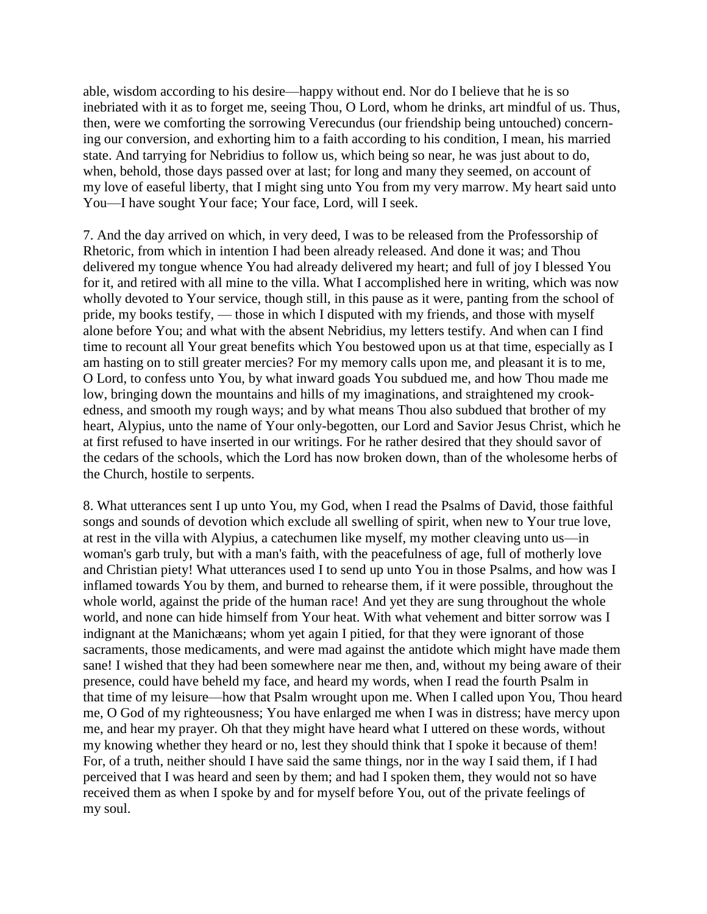able, wisdom according to his desire[—happy](http://www.newadvent.org/cathen/07131b.htm) without end. Nor do I [believe](http://www.newadvent.org/cathen/02408b.htm) that he is so inebriated with it as to forget me, seeing Thou, O Lord, whom he drinks, art mindful of us. Thus, then, were we comforting the sorrowing Verecundus (our friendship being untouched) concerning our conversion, and exhorting him to a [faith](http://www.newadvent.org/cathen/05752c.htm) according to his condition, I mean, his married state. And tarrying for Nebridius to follow us, which being so near, he was just about to do, when, behold, those days passed over at last; for long and many they seemed, on account of my [love](http://www.newadvent.org/cathen/09397a.htm) of easeful liberty, that I might sing unto You from my very marrow. My heart said unto You—I have sought Your face; Your face, Lord, will I seek.

7. And the day arrived on which, in very deed, I was to be released from the Professorship of Rhetoric, from which in intention I had been already released. And done it was; and Thou delivered my tongue whence You had already delivered my heart; and full of [joy](http://newadvent.org/cathen/07131b.htm) I blessed You for it, and retired with all mine to the villa. What I accomplished here in writing, which was now wholly devoted to Your service, though still, in this pause as it were, panting from the school of [pride,](http://newadvent.org/cathen/12405a.htm) my books testify, — those in which I disputed with my friends, and those with myself alone before You; and what with the absent Nebridius, my letters testify. And when can I find time to recount all Your great benefits which You bestowed upon us at that time, especially as I am hasting on to still greater mercies? For my memory calls upon me, and pleasant it is to me, O Lord, to confess unto You, by what inward goads You subdued me, and how Thou made me low, bringing down the mountains and hills of my imaginations, and straightened my crookedness, and smooth my rough ways; and by what means Thou also subdued that brother of my heart, Alypius, unto the name of Your only-begotten, [our Lord and Savior Jesus Christ,](http://newadvent.org/cathen/08374c.htm) which he at first refused to have inserted in our writings. For he rather desired that they should savor of the cedars of the schools, which the Lord has now broken down, than of the wholesome herbs of the [Church,](http://newadvent.org/cathen/03744a.htm) hostile to serpents.

8. What utterances sent I up unto You, my [God,](http://newadvent.org/cathen/06608a.htm) when I read the Psalms of David, those faithful songs and sounds of devotion which exclude all swelling of spirit, when new to Your [true](http://newadvent.org/cathen/15073a.htm) [love,](http://newadvent.org/cathen/09397a.htm) at rest in the villa with Alypius, a catechumen like myself, my mother cleaving unto us—in [woman's](http://newadvent.org/cathen/15687b.htm) garb [truly,](http://newadvent.org/cathen/15073a.htm) but with a man's [faith,](http://newadvent.org/cathen/05752c.htm) with the peacefulness of age, full of motherly [love](http://newadvent.org/cathen/09397a.htm) and [Christian](http://newadvent.org/cathen/03712a.htm) [piety!](http://newadvent.org/cathen/12748a.htm) What utterances used I to send up unto You in those Psalms, and how was I inflamed towards You by them, and burned to rehearse them, if it were possible, throughout the whole world, against the [pride](http://newadvent.org/cathen/12405a.htm) of the [human race!](http://newadvent.org/cathen/09580c.htm) And yet they are sung throughout the whole world, and none can hide himself from Your heat. With what vehement and bitter sorrow was I indignant at the [Manichæans;](http://newadvent.org/cathen/09591a.htm) whom yet again I pitied, for that they were [ignorant](http://newadvent.org/cathen/07648a.htm) of those [sacraments,](http://newadvent.org/cathen/13295a.htm) those medicaments, and were mad against the antidote which might have made them sane! I wished that they had been somewhere near me then, and, without my being aware of their presence, could have beheld my face, and heard my words, when I read the fourth Psalm in that time of my leisure—how that Psalm wrought upon me. When I called upon You, Thou heard me, O God of my righteousness; You have enlarged me when I was in distress; have mercy upon me, and hear my [prayer.](http://newadvent.org/cathen/12345b.htm) Oh that they might have heard what I uttered on these words, without my [knowing](http://newadvent.org/cathen/08673a.htm) whether they heard or no, lest they should think that I spoke it because of them! For, of a [truth,](http://newadvent.org/cathen/15073a.htm) neither should I have said the same things, nor in the way I said them, if I had perceived that I was heard and seen by them; and had I spoken them, they would not so have received them as when I spoke by and for myself before You, out of the private feelings of my [soul.](http://newadvent.org/cathen/14153a.htm)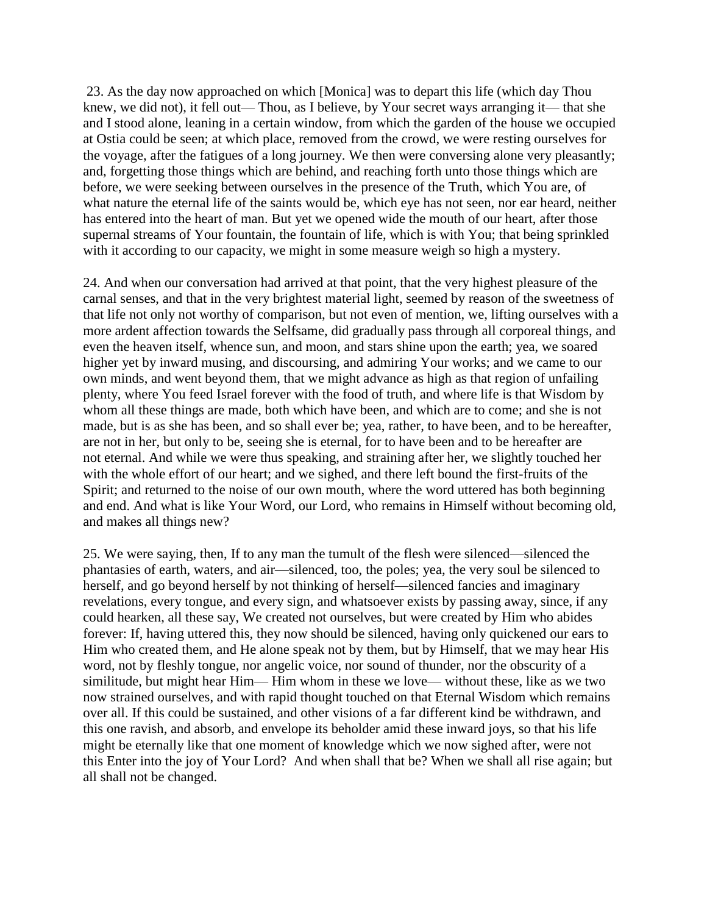23. As the day now approached on which [Monica] was to depart this life (which day Thou [knew,](http://www.newadvent.org/cathen/08675a.htm) we did not), it fell out— Thou, as I [believe,](http://www.newadvent.org/cathen/02408b.htm) by Your secret ways arranging it— that she and I stood alone, leaning in a certain window, from which the garden of the house we occupied at Ostia could be seen; at which place, removed from the crowd, we were resting ourselves for the voyage, after the fatigues of a long journey. We then were conversing alone very pleasantly; and, forgetting those things which are behind, and reaching forth unto those things which are before, we were seeking between ourselves in the presence of the Truth, which You are, of what nature the [eternal](http://www.newadvent.org/cathen/05551b.htm) life of the [saints](http://www.newadvent.org/cathen/04171a.htm) would be, which eye has not seen, nor ear heard, neither has entered into the heart of man. But yet we opened wide the mouth of our heart, after those supernal streams of Your fountain, the fountain of life, which is with You; that being sprinkled with it according to our capacity, we might in some measure weigh so high a [mystery.](http://www.newadvent.org/cathen/10662a.htm)

24. And when our conversation had arrived at that point, that the very highest pleasure of the carnal senses, and that in the very brightest material light, seemed by reason of the sweetness of that life not only not worthy of comparison, but not even of mention, we, lifting ourselves with a more ardent affection towards the Selfsame, did gradually pass through all corporeal things, and even the heaven itself, whence sun, and moon, and stars shine upon the earth; yea, we soared higher yet by inward musing, and discoursing, and admiring Your works; and we came to our own minds, and went beyond them, that we might advance as high as that region of unfailing plenty, where You feed [Israel](http://www.newadvent.org/cathen/08193a.htm) forever with the food of [truth,](http://www.newadvent.org/cathen/15073a.htm) and where life is that Wisdom by whom all these things are made, both which have been, and which are to come; and she is not made, but is as she has been, and so shall ever be; yea, rather, to have been, and to be hereafter, are not in her, but only to be, seeing she is [eternal,](http://www.newadvent.org/cathen/05551b.htm) for to have been and to be hereafter are not [eternal.](http://www.newadvent.org/cathen/05551b.htm) And while we were thus speaking, and straining after her, we slightly touched her with the whole effort of our heart; and we sighed, and there left bound the [first-fruits](http://www.newadvent.org/cathen/06082a.htm) of the [Spirit;](http://www.newadvent.org/cathen/07409a.htm) and returned to the noise of our own mouth, where the word uttered has both beginning and end. And what is like Your Word, our Lord, who remains in Himself without becoming old, and makes all things new?

25. We were saying, then, If to any man the tumult of the flesh were silenced—silenced the phantasies of earth, waters, and air—silenced, too, the poles; yea, the very [soul](http://www.newadvent.org/cathen/14153a.htm) be silenced to herself, and go beyond herself by not thinking of herself—silenced fancies and imaginary revelations, every tongue, and every sign, and whatsoever exists by passing away, since, if any could hearken, all these say, We created not ourselves, but were created by Him who abides forever: If, having uttered this, they now should be silenced, having only quickened our ears to Him who created them, and He alone speak not by them, but by Himself, that we may hear His word, not by fleshly tongue, nor angelic voice, nor sound of thunder, nor the obscurity of a similitude, but might hear Him— Him whom in these we [love—](http://www.newadvent.org/cathen/09397a.htm) without these, like as we two now strained ourselves, and with rapid thought touched on that Eternal Wisdom which remains over all. If this could be sustained, and other visions of a far different kind be withdrawn, and this one ravish, and absorb, and envelope its beholder amid these inward joys, so that his life might be [eternally](http://www.newadvent.org/cathen/05551b.htm) like that one moment of [knowledge](http://www.newadvent.org/cathen/08673a.htm) which we now sighed after, were not this Enter into the [joy](http://www.newadvent.org/cathen/07131b.htm) of Your Lord? And when shall that be? When we shall all rise again; but all shall not be changed.